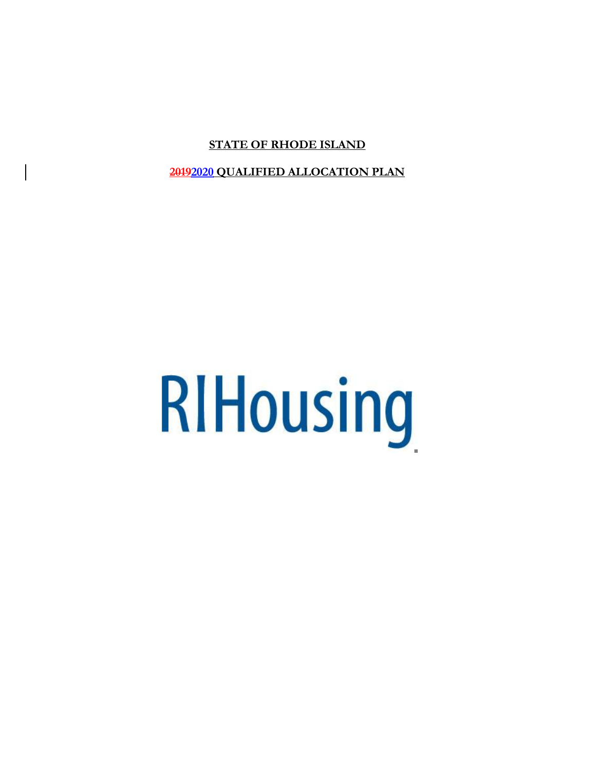**STATE OF RHODE ISLAND**

**20192020 QUALIFIED ALLOCATION PLAN**

# RIHousing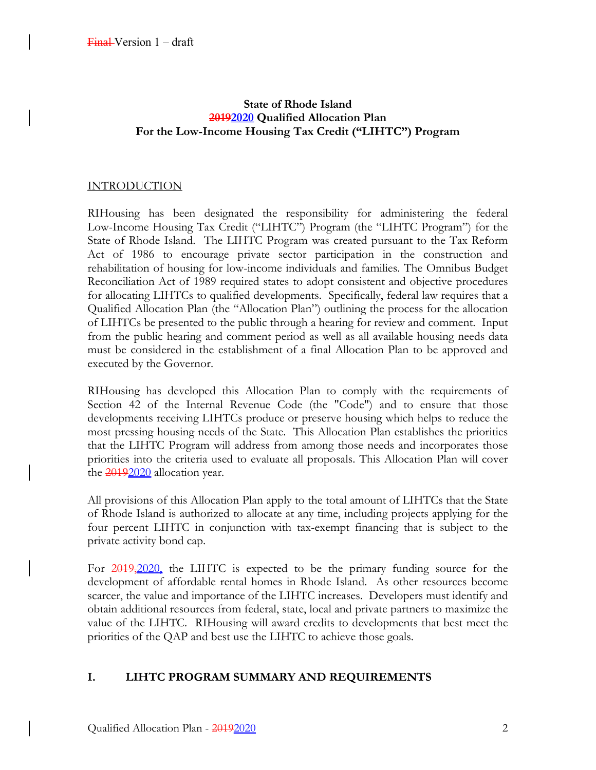#### **State of Rhode Island 20192020 Qualified Allocation Plan For the Low-Income Housing Tax Credit ("LIHTC") Program**

#### INTRODUCTION

RIHousing has been designated the responsibility for administering the federal Low-Income Housing Tax Credit ("LIHTC") Program (the "LIHTC Program") for the State of Rhode Island. The LIHTC Program was created pursuant to the Tax Reform Act of 1986 to encourage private sector participation in the construction and rehabilitation of housing for low-income individuals and families. The Omnibus Budget Reconciliation Act of 1989 required states to adopt consistent and objective procedures for allocating LIHTCs to qualified developments. Specifically, federal law requires that a Qualified Allocation Plan (the "Allocation Plan") outlining the process for the allocation of LIHTCs be presented to the public through a hearing for review and comment. Input from the public hearing and comment period as well as all available housing needs data must be considered in the establishment of a final Allocation Plan to be approved and executed by the Governor.

RIHousing has developed this Allocation Plan to comply with the requirements of Section 42 of the Internal Revenue Code (the "Code") and to ensure that those developments receiving LIHTCs produce or preserve housing which helps to reduce the most pressing housing needs of the State. This Allocation Plan establishes the priorities that the LIHTC Program will address from among those needs and incorporates those priorities into the criteria used to evaluate all proposals. This Allocation Plan will cover the 20192020 allocation year.

All provisions of this Allocation Plan apply to the total amount of LIHTCs that the State of Rhode Island is authorized to allocate at any time, including projects applying for the four percent LIHTC in conjunction with tax-exempt financing that is subject to the private activity bond cap.

For 2019,2020, the LIHTC is expected to be the primary funding source for the development of affordable rental homes in Rhode Island. As other resources become scarcer, the value and importance of the LIHTC increases. Developers must identify and obtain additional resources from federal, state, local and private partners to maximize the value of the LIHTC. RIHousing will award credits to developments that best meet the priorities of the QAP and best use the LIHTC to achieve those goals.

#### **I. LIHTC PROGRAM SUMMARY AND REQUIREMENTS**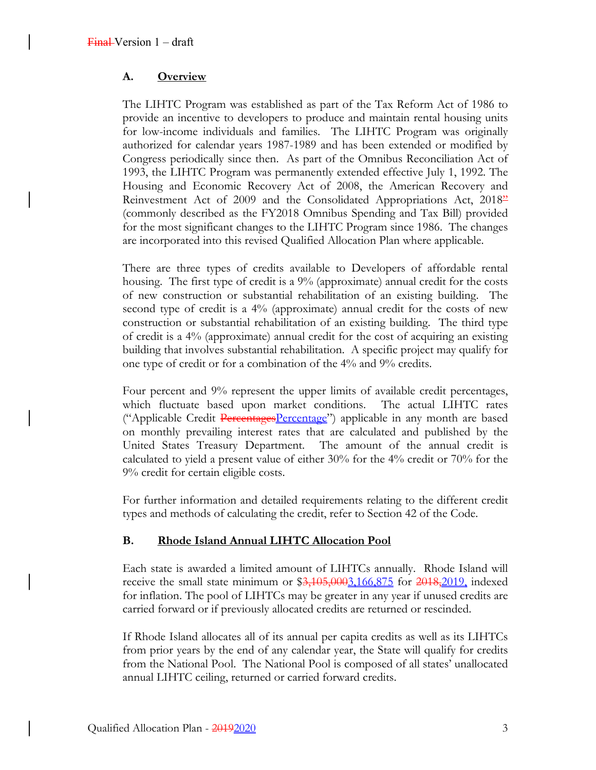### **A. Overview**

The LIHTC Program was established as part of the Tax Reform Act of 1986 to provide an incentive to developers to produce and maintain rental housing units for low-income individuals and families. The LIHTC Program was originally authorized for calendar years 1987-1989 and has been extended or modified by Congress periodically since then. As part of the Omnibus Reconciliation Act of 1993, the LIHTC Program was permanently extended effective July 1, 1992. The Housing and Economic Recovery Act of 2008, the American Recovery and Reinvestment Act of 2009 and the Consolidated Appropriations Act, 2018'' (commonly described as the FY2018 Omnibus Spending and Tax Bill) provided for the most significant changes to the LIHTC Program since 1986. The changes are incorporated into this revised Qualified Allocation Plan where applicable.

There are three types of credits available to Developers of affordable rental housing. The first type of credit is a 9% (approximate) annual credit for the costs of new construction or substantial rehabilitation of an existing building. The second type of credit is a 4% (approximate) annual credit for the costs of new construction or substantial rehabilitation of an existing building. The third type of credit is a 4% (approximate) annual credit for the cost of acquiring an existing building that involves substantial rehabilitation. A specific project may qualify for one type of credit or for a combination of the 4% and 9% credits.

Four percent and 9% represent the upper limits of available credit percentages, which fluctuate based upon market conditions. The actual LIHTC rates ("Applicable Credit Percentages Percentage") applicable in any month are based on monthly prevailing interest rates that are calculated and published by the United States Treasury Department. The amount of the annual credit is calculated to yield a present value of either 30% for the 4% credit or 70% for the 9% credit for certain eligible costs.

For further information and detailed requirements relating to the different credit types and methods of calculating the credit, refer to Section 42 of the Code.

#### **B. Rhode Island Annual LIHTC Allocation Pool**

Each state is awarded a limited amount of LIHTCs annually. Rhode Island will receive the small state minimum or  $\frac{1}{3,105,0003,166,875}$  for  $\frac{2018,2019}{3}$  indexed for inflation. The pool of LIHTCs may be greater in any year if unused credits are carried forward or if previously allocated credits are returned or rescinded.

If Rhode Island allocates all of its annual per capita credits as well as its LIHTCs from prior years by the end of any calendar year, the State will qualify for credits from the National Pool. The National Pool is composed of all states' unallocated annual LIHTC ceiling, returned or carried forward credits.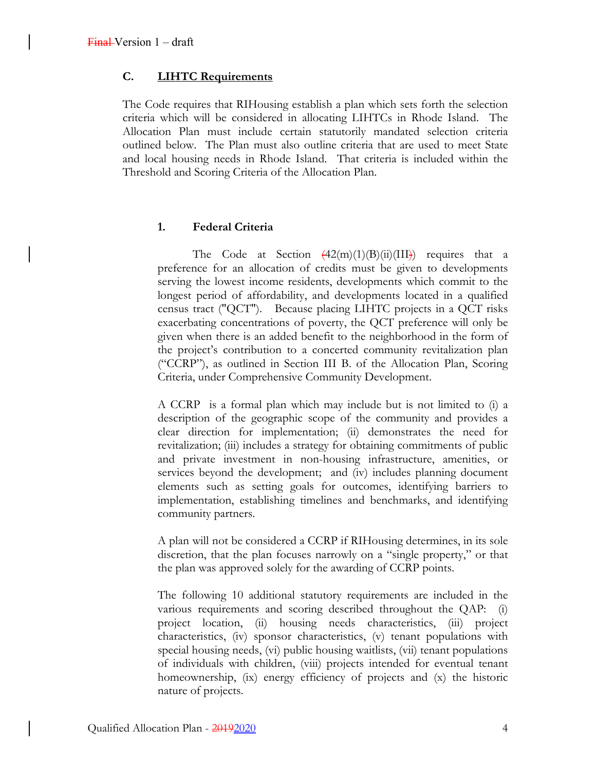#### **C. LIHTC Requirements**

The Code requires that RIHousing establish a plan which sets forth the selection criteria which will be considered in allocating LIHTCs in Rhode Island. The Allocation Plan must include certain statutorily mandated selection criteria outlined below. The Plan must also outline criteria that are used to meet State and local housing needs in Rhode Island. That criteria is included within the Threshold and Scoring Criteria of the Allocation Plan.

#### **1. Federal Criteria**

The Code at Section  $(42(m)(1)(B)(ii)(III))$  requires that a preference for an allocation of credits must be given to developments serving the lowest income residents, developments which commit to the longest period of affordability, and developments located in a qualified census tract ("QCT"). Because placing LIHTC projects in a QCT risks exacerbating concentrations of poverty, the QCT preference will only be given when there is an added benefit to the neighborhood in the form of the project's contribution to a concerted community revitalization plan ("CCRP"), as outlined in Section III B. of the Allocation Plan, Scoring Criteria, under Comprehensive Community Development.

A CCRP is a formal plan which may include but is not limited to (i) a description of the geographic scope of the community and provides a clear direction for implementation; (ii) demonstrates the need for revitalization; (iii) includes a strategy for obtaining commitments of public and private investment in non-housing infrastructure, amenities, or services beyond the development; and (iv) includes planning document elements such as setting goals for outcomes, identifying barriers to implementation, establishing timelines and benchmarks, and identifying community partners.

A plan will not be considered a CCRP if RIHousing determines, in its sole discretion, that the plan focuses narrowly on a "single property," or that the plan was approved solely for the awarding of CCRP points.

The following 10 additional statutory requirements are included in the various requirements and scoring described throughout the QAP: (i) project location, (ii) housing needs characteristics, (iii) project characteristics, (iv) sponsor characteristics, (v) tenant populations with special housing needs, (vi) public housing waitlists, (vii) tenant populations of individuals with children, (viii) projects intended for eventual tenant homeownership, (ix) energy efficiency of projects and (x) the historic nature of projects.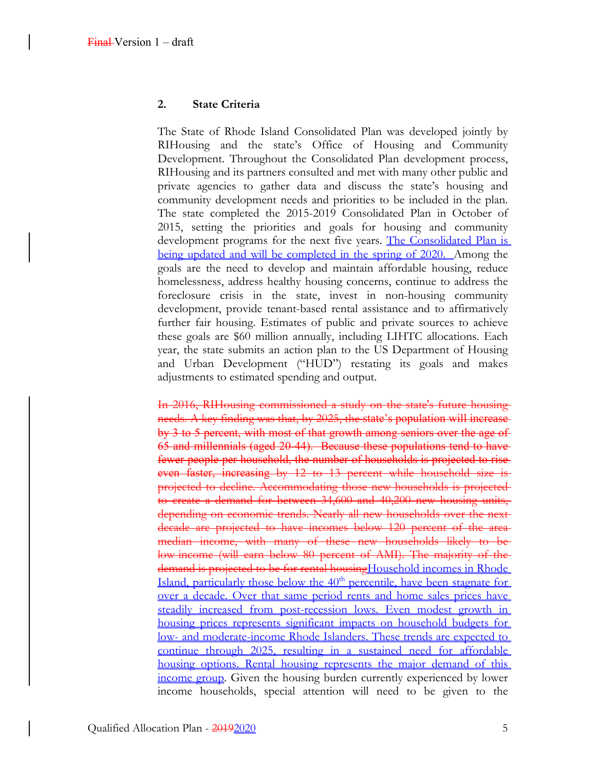#### **2. State Criteria**

The State of Rhode Island Consolidated Plan was developed jointly by RIHousing and the state's Office of Housing and Community Development. Throughout the Consolidated Plan development process, RIHousing and its partners consulted and met with many other public and private agencies to gather data and discuss the state's housing and community development needs and priorities to be included in the plan. The state completed the 2015-2019 Consolidated Plan in October of 2015, setting the priorities and goals for housing and community development programs for the next five years. The Consolidated Plan is being updated and will be completed in the spring of 2020. Among the goals are the need to develop and maintain affordable housing, reduce homelessness, address healthy housing concerns, continue to address the foreclosure crisis in the state, invest in non-housing community development, provide tenant-based rental assistance and to affirmatively further fair housing. Estimates of public and private sources to achieve these goals are \$60 million annually, including LIHTC allocations. Each year, the state submits an action plan to the US Department of Housing and Urban Development ("HUD") restating its goals and makes adjustments to estimated spending and output.

In 2016, RIHousing commissioned a study on the state's future housing needs. A key finding was that, by 2025, the state's population will increase by 3 to 5 percent, with most of that growth among seniors over the age of 65 and millennials (aged 20-44). Because these populations tend to have fewer people per household, the number of households is projected to rise even faster, increasing by 12 to 13 percent while household size is projected to decline. Accommodating those new households is projected to create a demand for between 34,600 and 40,200 new housing units, depending on economic trends. Nearly all new households over the next decade are projected to have incomes below 120 percent of the area median income, with many of these new households likely to be low-income (will earn below 80 percent of AMI). The majority of the demand is projected to be for rental housing Household incomes in Rhode Island, particularly those below the 40<sup>th</sup> percentile, have been stagnate for over a decade. Over that same period rents and home sales prices have steadily increased from post-recession lows. Even modest growth in housing prices represents significant impacts on household budgets for low- and moderate-income Rhode Islanders. These trends are expected to continue through 2025, resulting in a sustained need for affordable housing options. Rental housing represents the major demand of this income group. Given the housing burden currently experienced by lower income households, special attention will need to be given to the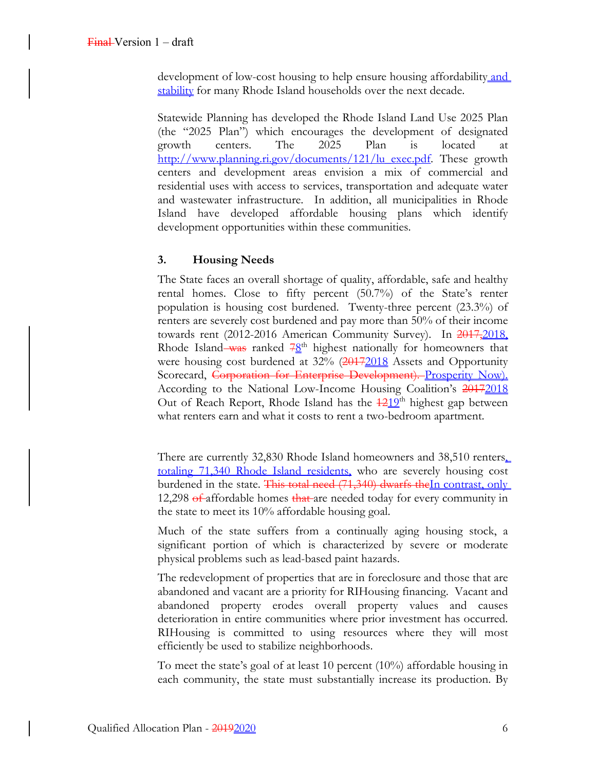development of low-cost housing to help ensure housing affordability and stability for many Rhode Island households over the next decade.

Statewide Planning has developed the Rhode Island Land Use 2025 Plan (the "2025 Plan") which encourages the development of designated growth centers. The 2025 Plan is located at http://www.planning.ri.gov/documents/121/lu\_exec.pdf. These growth centers and development areas envision a mix of commercial and residential uses with access to services, transportation and adequate water and wastewater infrastructure. In addition, all municipalities in Rhode Island have developed affordable housing plans which identify development opportunities within these communities.

#### **3. Housing Needs**

The State faces an overall shortage of quality, affordable, safe and healthy rental homes. Close to fifty percent (50.7%) of the State's renter population is housing cost burdened. Twenty-three percent (23.3%) of renters are severely cost burdened and pay more than 50% of their income towards rent (2012-2016 American Community Survey). In 2017, 2018, Rhode Island was ranked  $72<sup>ch</sup>$  highest nationally for homeowners that were housing cost burdened at 32% (20172018 Assets and Opportunity Scorecard, Corporation for Enterprise Development). Prosperity Now). According to the National Low-Income Housing Coalition's 20172018 Out of Reach Report, Rhode Island has the  $\frac{4219}{h}$  highest gap between what renters earn and what it costs to rent a two-bedroom apartment.

There are currently 32,830 Rhode Island homeowners and 38,510 renters totaling 71,340 Rhode Island residents, who are severely housing cost burdened in the state. This total need (71,340) dwarfs theIn contrast, only 12,298 of affordable homes that are needed today for every community in the state to meet its 10% affordable housing goal.

Much of the state suffers from a continually aging housing stock, a significant portion of which is characterized by severe or moderate physical problems such as lead-based paint hazards.

The redevelopment of properties that are in foreclosure and those that are abandoned and vacant are a priority for RIHousing financing. Vacant and abandoned property erodes overall property values and causes deterioration in entire communities where prior investment has occurred. RIHousing is committed to using resources where they will most efficiently be used to stabilize neighborhoods.

To meet the state's goal of at least 10 percent (10%) affordable housing in each community, the state must substantially increase its production. By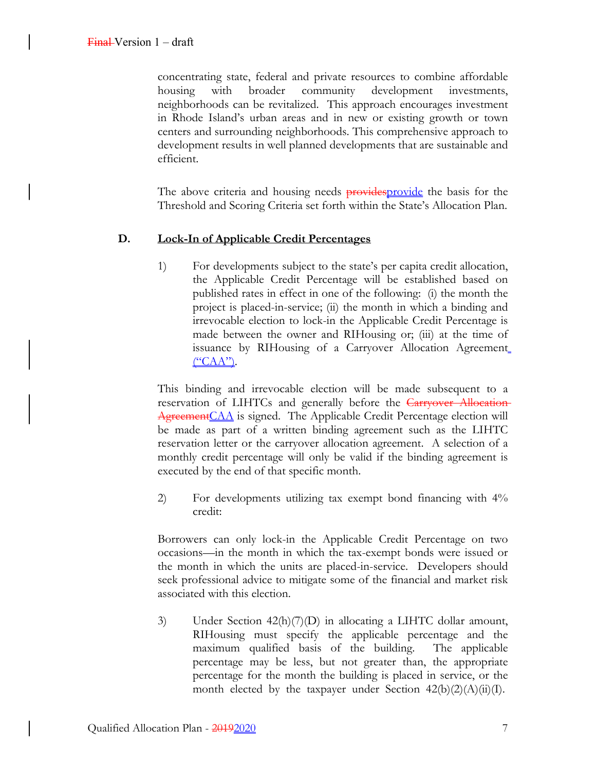concentrating state, federal and private resources to combine affordable housing with broader community development investments, neighborhoods can be revitalized. This approach encourages investment in Rhode Island's urban areas and in new or existing growth or town centers and surrounding neighborhoods. This comprehensive approach to development results in well planned developments that are sustainable and efficient.

The above criteria and housing needs **provides** provides the basis for the Threshold and Scoring Criteria set forth within the State's Allocation Plan.

### **D. Lock-In of Applicable Credit Percentages**

1) For developments subject to the state's per capita credit allocation, the Applicable Credit Percentage will be established based on published rates in effect in one of the following: (i) the month the project is placed-in-service; (ii) the month in which a binding and irrevocable election to lock-in the Applicable Credit Percentage is made between the owner and RIHousing or; (iii) at the time of issuance by RIHousing of a Carryover Allocation Agreement  $\sqrt{CAA^{\prime\prime}}$ .

This binding and irrevocable election will be made subsequent to a reservation of LIHTCs and generally before the Carryover Allocation AgreementCAA is signed. The Applicable Credit Percentage election will be made as part of a written binding agreement such as the LIHTC reservation letter or the carryover allocation agreement. A selection of a monthly credit percentage will only be valid if the binding agreement is executed by the end of that specific month.

2) For developments utilizing tax exempt bond financing with 4% credit:

Borrowers can only lock-in the Applicable Credit Percentage on two occasions—in the month in which the tax-exempt bonds were issued or the month in which the units are placed-in-service. Developers should seek professional advice to mitigate some of the financial and market risk associated with this election.

3) Under Section 42(h)(7)(D) in allocating a LIHTC dollar amount, RIHousing must specify the applicable percentage and the maximum qualified basis of the building. The applicable percentage may be less, but not greater than, the appropriate percentage for the month the building is placed in service, or the month elected by the taxpayer under Section  $42(b)(2)(A)(ii)(I)$ .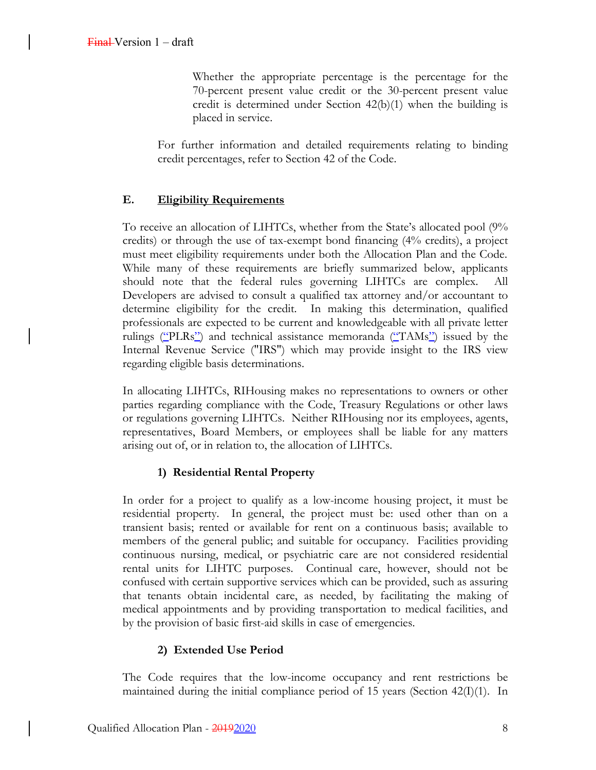Whether the appropriate percentage is the percentage for the 70-percent present value credit or the 30-percent present value credit is determined under Section 42(b)(1) when the building is placed in service.

For further information and detailed requirements relating to binding credit percentages, refer to Section 42 of the Code.

## **E. Eligibility Requirements**

To receive an allocation of LIHTCs, whether from the State's allocated pool (9% credits) or through the use of tax-exempt bond financing (4% credits), a project must meet eligibility requirements under both the Allocation Plan and the Code. While many of these requirements are briefly summarized below, applicants should note that the federal rules governing LIHTCs are complex. All Developers are advised to consult a qualified tax attorney and/or accountant to determine eligibility for the credit. In making this determination, qualified professionals are expected to be current and knowledgeable with all private letter rulings ("PLRs") and technical assistance memoranda ("TAMs") issued by the Internal Revenue Service ("IRS") which may provide insight to the IRS view regarding eligible basis determinations.

In allocating LIHTCs, RIHousing makes no representations to owners or other parties regarding compliance with the Code, Treasury Regulations or other laws or regulations governing LIHTCs. Neither RIHousing nor its employees, agents, representatives, Board Members, or employees shall be liable for any matters arising out of, or in relation to, the allocation of LIHTCs.

## **1) Residential Rental Property**

In order for a project to qualify as a low-income housing project, it must be residential property. In general, the project must be: used other than on a transient basis; rented or available for rent on a continuous basis; available to members of the general public; and suitable for occupancy. Facilities providing continuous nursing, medical, or psychiatric care are not considered residential rental units for LIHTC purposes. Continual care, however, should not be confused with certain supportive services which can be provided, such as assuring that tenants obtain incidental care, as needed, by facilitating the making of medical appointments and by providing transportation to medical facilities, and by the provision of basic first-aid skills in case of emergencies.

#### **2) Extended Use Period**

The Code requires that the low-income occupancy and rent restrictions be maintained during the initial compliance period of 15 years (Section 42(I)(1). In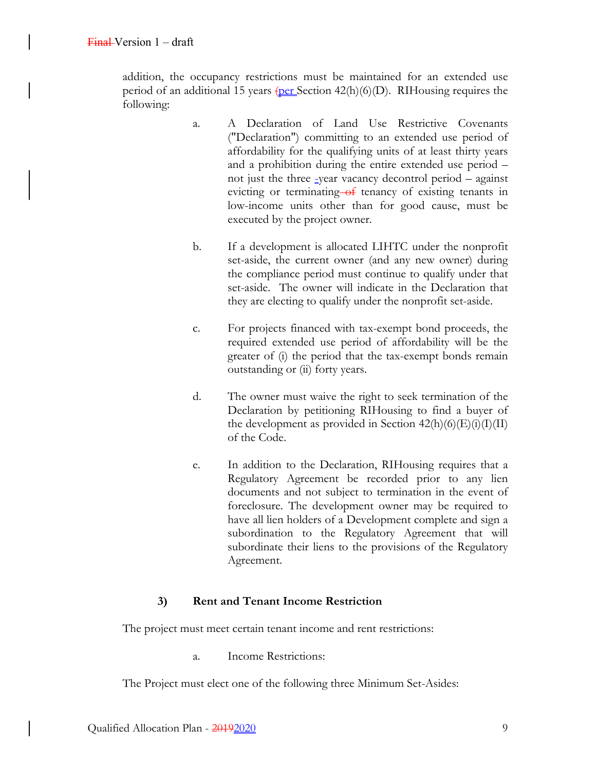addition, the occupancy restrictions must be maintained for an extended use period of an additional 15 years  $\frac{\sqrt{p}e^{-\pi}}{\sqrt{p}}$  Section 42(h)(6)(D). RIHousing requires the following:

- a. A Declaration of Land Use Restrictive Covenants ("Declaration") committing to an extended use period of affordability for the qualifying units of at least thirty years and a prohibition during the entire extended use period – not just the three -year vacancy decontrol period – against evicting or terminating  $-$ of tenancy of existing tenants in low-income units other than for good cause, must be executed by the project owner.
- b. If a development is allocated LIHTC under the nonprofit set-aside, the current owner (and any new owner) during the compliance period must continue to qualify under that set-aside. The owner will indicate in the Declaration that they are electing to qualify under the nonprofit set-aside.
- c. For projects financed with tax-exempt bond proceeds, the required extended use period of affordability will be the greater of (i) the period that the tax-exempt bonds remain outstanding or (ii) forty years.
- d. The owner must waive the right to seek termination of the Declaration by petitioning RIHousing to find a buyer of the development as provided in Section  $42(h)(6)(E)(i)(I)(II)$ of the Code.
- e. In addition to the Declaration, RIHousing requires that a Regulatory Agreement be recorded prior to any lien documents and not subject to termination in the event of foreclosure. The development owner may be required to have all lien holders of a Development complete and sign a subordination to the Regulatory Agreement that will subordinate their liens to the provisions of the Regulatory Agreement.

## **3) Rent and Tenant Income Restriction**

The project must meet certain tenant income and rent restrictions:

a. Income Restrictions:

The Project must elect one of the following three Minimum Set-Asides: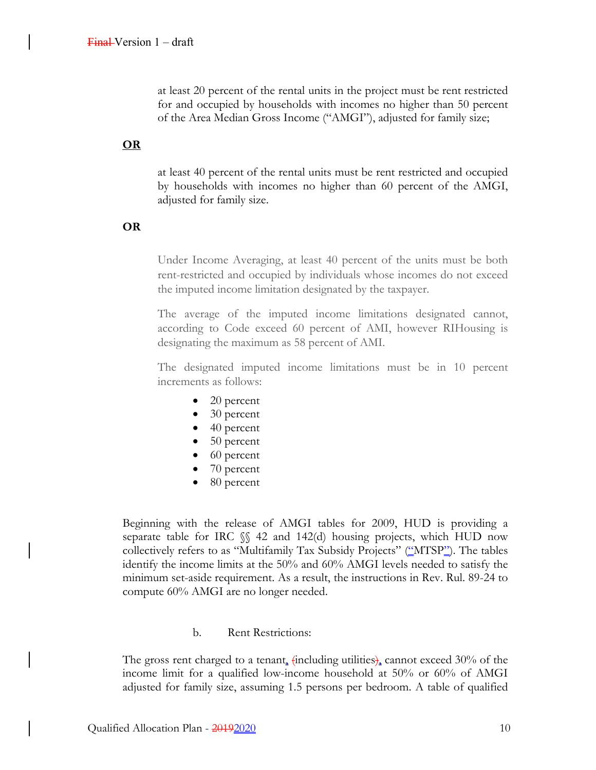at least 20 percent of the rental units in the project must be rent restricted for and occupied by households with incomes no higher than 50 percent of the Area Median Gross Income ("AMGI"), adjusted for family size;

#### **OR**

at least 40 percent of the rental units must be rent restricted and occupied by households with incomes no higher than 60 percent of the AMGI, adjusted for family size.

#### **OR**

Under Income Averaging, at least 40 percent of the units must be both rent-restricted and occupied by individuals whose incomes do not exceed the imputed income limitation designated by the taxpayer.

The average of the imputed income limitations designated cannot, according to Code exceed 60 percent of AMI, however RIHousing is designating the maximum as 58 percent of AMI.

The designated imputed income limitations must be in 10 percent increments as follows:

- 20 percent
- 30 percent
- 40 percent
- 50 percent
- 60 percent
- 70 percent
- 80 percent

Beginning with the release of AMGI tables for 2009, HUD is providing a separate table for IRC  $\$  42 and 142(d) housing projects, which HUD now collectively refers to as "Multifamily Tax Subsidy Projects" ("MTSP"). The tables identify the income limits at the 50% and 60% AMGI levels needed to satisfy the minimum set-aside requirement. As a result, the instructions in Rev. Rul. 89-24 to compute 60% AMGI are no longer needed.

#### b. Rent Restrictions:

The gross rent charged to a tenant,  $\frac{1}{2}$  fincluding utilities), cannot exceed 30% of the income limit for a qualified low-income household at 50% or 60% of AMGI adjusted for family size, assuming 1.5 persons per bedroom. A table of qualified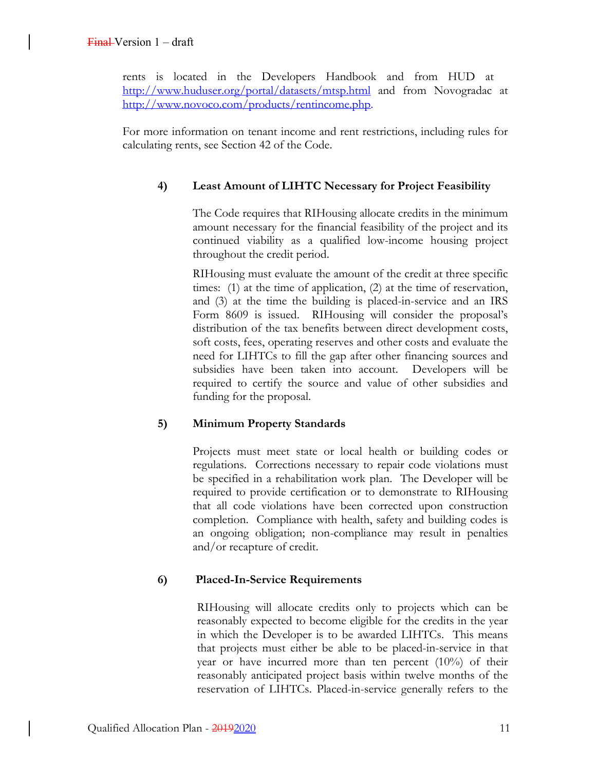rents is located in the Developers Handbook and from HUD at http://www.huduser.org/portal/datasets/mtsp.html and from Novogradac at http://www.novoco.com/products/rentincome.php.

For more information on tenant income and rent restrictions, including rules for calculating rents, see Section 42 of the Code.

#### **4) Least Amount of LIHTC Necessary for Project Feasibility**

The Code requires that RIHousing allocate credits in the minimum amount necessary for the financial feasibility of the project and its continued viability as a qualified low-income housing project throughout the credit period.

RIHousing must evaluate the amount of the credit at three specific times: (1) at the time of application, (2) at the time of reservation, and (3) at the time the building is placed-in-service and an IRS Form 8609 is issued. RIHousing will consider the proposal's distribution of the tax benefits between direct development costs, soft costs, fees, operating reserves and other costs and evaluate the need for LIHTCs to fill the gap after other financing sources and subsidies have been taken into account. Developers will be required to certify the source and value of other subsidies and funding for the proposal.

## **5) Minimum Property Standards**

Projects must meet state or local health or building codes or regulations. Corrections necessary to repair code violations must be specified in a rehabilitation work plan. The Developer will be required to provide certification or to demonstrate to RIHousing that all code violations have been corrected upon construction completion. Compliance with health, safety and building codes is an ongoing obligation; non-compliance may result in penalties and/or recapture of credit.

#### **6) Placed-In-Service Requirements**

RIHousing will allocate credits only to projects which can be reasonably expected to become eligible for the credits in the year in which the Developer is to be awarded LIHTCs. This means that projects must either be able to be placed-in-service in that year or have incurred more than ten percent (10%) of their reasonably anticipated project basis within twelve months of the reservation of LIHTCs. Placed-in-service generally refers to the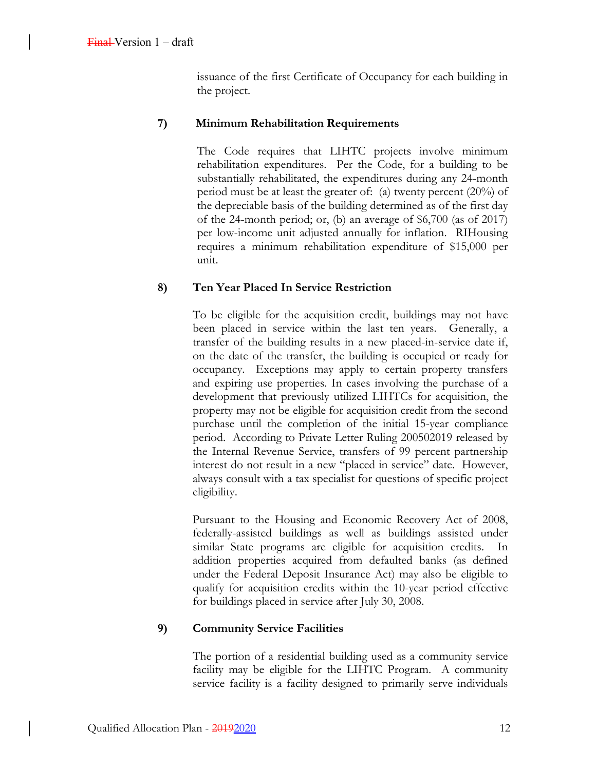issuance of the first Certificate of Occupancy for each building in the project.

## **7) Minimum Rehabilitation Requirements**

The Code requires that LIHTC projects involve minimum rehabilitation expenditures. Per the Code, for a building to be substantially rehabilitated, the expenditures during any 24-month period must be at least the greater of: (a) twenty percent (20%) of the depreciable basis of the building determined as of the first day of the 24-month period; or, (b) an average of \$6,700 (as of 2017) per low-income unit adjusted annually for inflation. RIHousing requires a minimum rehabilitation expenditure of \$15,000 per unit.

# **8) Ten Year Placed In Service Restriction**

To be eligible for the acquisition credit, buildings may not have been placed in service within the last ten years. Generally, a transfer of the building results in a new placed-in-service date if, on the date of the transfer, the building is occupied or ready for occupancy. Exceptions may apply to certain property transfers and expiring use properties. In cases involving the purchase of a development that previously utilized LIHTCs for acquisition, the property may not be eligible for acquisition credit from the second purchase until the completion of the initial 15-year compliance period. According to Private Letter Ruling 200502019 released by the Internal Revenue Service, transfers of 99 percent partnership interest do not result in a new "placed in service" date. However, always consult with a tax specialist for questions of specific project eligibility.

Pursuant to the Housing and Economic Recovery Act of 2008, federally-assisted buildings as well as buildings assisted under similar State programs are eligible for acquisition credits. In addition properties acquired from defaulted banks (as defined under the Federal Deposit Insurance Act) may also be eligible to qualify for acquisition credits within the 10-year period effective for buildings placed in service after July 30, 2008.

# **9) Community Service Facilities**

The portion of a residential building used as a community service facility may be eligible for the LIHTC Program. A community service facility is a facility designed to primarily serve individuals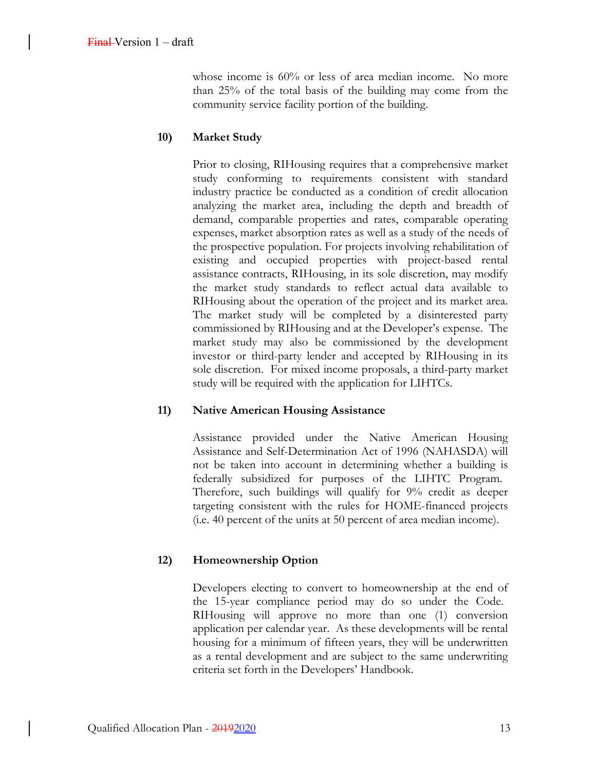whose income is  $60\%$  or less of area median income. No more than 25% of the total basis of the building may come from the community service facility portion of the building.

## **10) Market Study**

Prior to closing, RIHousing requires that a comprehensive market study conforming to requirements consistent with standard industry practice be conducted as a condition of credit allocation analyzing the market area, including the depth and breadth of demand, comparable properties and rates, comparable operating expenses, market absorption rates as well as a study of the needs of the prospective population. For projects involving rehabilitation of existing and occupied properties with project-based rental assistance contracts, RIHousing, in its sole discretion, may modify the market study standards to reflect actual data available to RIHousing about the operation of the project and its market area. The market study will be completed by a disinterested party commissioned by RIHousing and at the Developer's expense. The market study may also be commissioned by the development investor or third-party lender and accepted by RIHousing in its sole discretion. For mixed income proposals, a third-party market study will be required with the application for LIHTCs.

#### **11) Native American Housing Assistance**

Assistance provided under the Native American Housing Assistance and Self-Determination Act of 1996 (NAHASDA) will not be taken into account in determining whether a building is federally subsidized for purposes of the LIHTC Program. Therefore, such buildings will qualify for 9% credit as deeper targeting consistent with the rules for HOME-financed projects (i.e. 40 percent of the units at 50 percent of area median income).

## **12) Homeownership Option**

Developers electing to convert to homeownership at the end of the 15-year compliance period may do so under the Code. RIHousing will approve no more than one (1) conversion application per calendar year. As these developments will be rental housing for a minimum of fifteen years, they will be underwritten as a rental development and are subject to the same underwriting criteria set forth in the Developers' Handbook.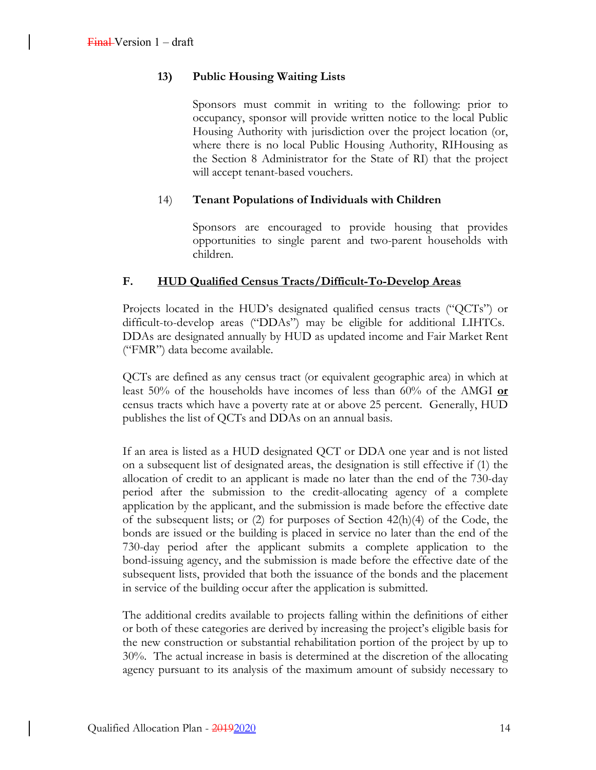## **13) Public Housing Waiting Lists**

Sponsors must commit in writing to the following: prior to occupancy, sponsor will provide written notice to the local Public Housing Authority with jurisdiction over the project location (or, where there is no local Public Housing Authority, RIHousing as the Section 8 Administrator for the State of RI) that the project will accept tenant-based vouchers.

### 14) **Tenant Populations of Individuals with Children**

Sponsors are encouraged to provide housing that provides opportunities to single parent and two-parent households with children.

#### **F. HUD Qualified Census Tracts/Difficult-To-Develop Areas**

Projects located in the HUD's designated qualified census tracts ("QCTs") or difficult-to-develop areas ("DDAs") may be eligible for additional LIHTCs. DDAs are designated annually by HUD as updated income and Fair Market Rent ("FMR") data become available.

QCTs are defined as any census tract (or equivalent geographic area) in which at least 50% of the households have incomes of less than 60% of the AMGI **or** census tracts which have a poverty rate at or above 25 percent. Generally, HUD publishes the list of QCTs and DDAs on an annual basis.

If an area is listed as a HUD designated QCT or DDA one year and is not listed on a subsequent list of designated areas, the designation is still effective if (1) the allocation of credit to an applicant is made no later than the end of the 730-day period after the submission to the credit-allocating agency of a complete application by the applicant, and the submission is made before the effective date of the subsequent lists; or  $(2)$  for purposes of Section 42(h)(4) of the Code, the bonds are issued or the building is placed in service no later than the end of the 730-day period after the applicant submits a complete application to the bond-issuing agency, and the submission is made before the effective date of the subsequent lists, provided that both the issuance of the bonds and the placement in service of the building occur after the application is submitted.

The additional credits available to projects falling within the definitions of either or both of these categories are derived by increasing the project's eligible basis for the new construction or substantial rehabilitation portion of the project by up to 30%. The actual increase in basis is determined at the discretion of the allocating agency pursuant to its analysis of the maximum amount of subsidy necessary to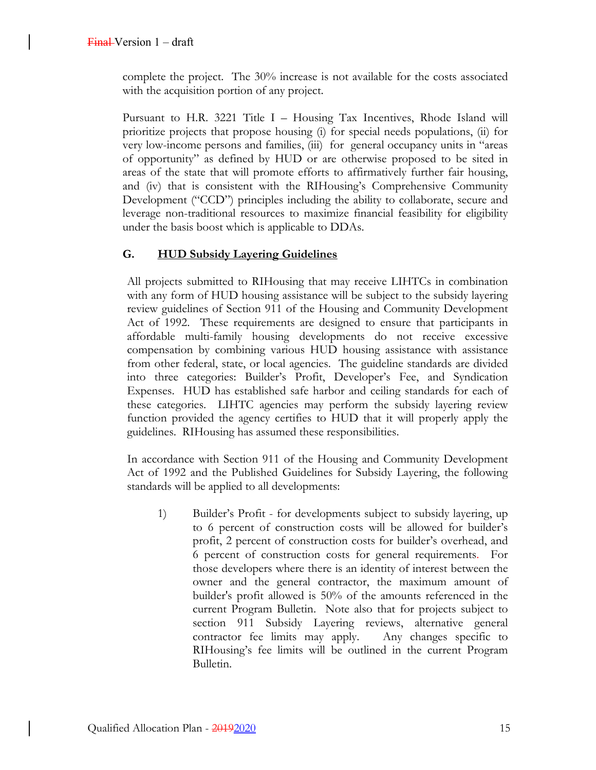complete the project. The 30% increase is not available for the costs associated with the acquisition portion of any project.

Pursuant to H.R. 3221 Title I – Housing Tax Incentives, Rhode Island will prioritize projects that propose housing (i) for special needs populations, (ii) for very low-income persons and families, (iii) for general occupancy units in "areas of opportunity" as defined by HUD or are otherwise proposed to be sited in areas of the state that will promote efforts to affirmatively further fair housing, and (iv) that is consistent with the RIHousing's Comprehensive Community Development ("CCD") principles including the ability to collaborate, secure and leverage non-traditional resources to maximize financial feasibility for eligibility under the basis boost which is applicable to DDAs.

## **G. HUD Subsidy Layering Guidelines**

All projects submitted to RIHousing that may receive LIHTCs in combination with any form of HUD housing assistance will be subject to the subsidy layering review guidelines of Section 911 of the Housing and Community Development Act of 1992. These requirements are designed to ensure that participants in affordable multi-family housing developments do not receive excessive compensation by combining various HUD housing assistance with assistance from other federal, state, or local agencies. The guideline standards are divided into three categories: Builder's Profit, Developer's Fee, and Syndication Expenses. HUD has established safe harbor and ceiling standards for each of these categories. LIHTC agencies may perform the subsidy layering review function provided the agency certifies to HUD that it will properly apply the guidelines. RIHousing has assumed these responsibilities.

In accordance with Section 911 of the Housing and Community Development Act of 1992 and the Published Guidelines for Subsidy Layering, the following standards will be applied to all developments:

1) Builder's Profit - for developments subject to subsidy layering, up to 6 percent of construction costs will be allowed for builder's profit, 2 percent of construction costs for builder's overhead, and 6 percent of construction costs for general requirements. For those developers where there is an identity of interest between the owner and the general contractor, the maximum amount of builder's profit allowed is 50% of the amounts referenced in the current Program Bulletin. Note also that for projects subject to section 911 Subsidy Layering reviews, alternative general contractor fee limits may apply. Any changes specific to RIHousing's fee limits will be outlined in the current Program Bulletin.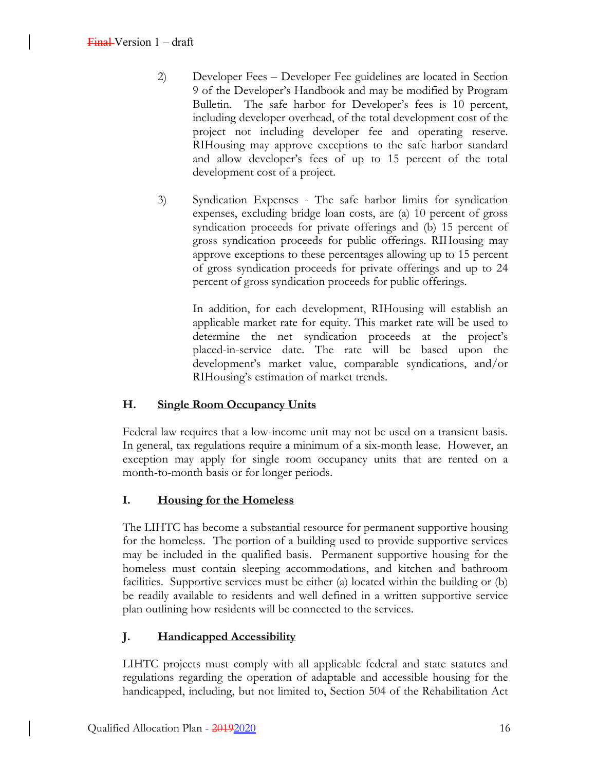- 2) Developer Fees Developer Fee guidelines are located in Section 9 of the Developer's Handbook and may be modified by Program Bulletin. The safe harbor for Developer's fees is 10 percent, including developer overhead, of the total development cost of the project not including developer fee and operating reserve. RIHousing may approve exceptions to the safe harbor standard and allow developer's fees of up to 15 percent of the total development cost of a project.
- 3) Syndication Expenses The safe harbor limits for syndication expenses, excluding bridge loan costs, are (a) 10 percent of gross syndication proceeds for private offerings and (b) 15 percent of gross syndication proceeds for public offerings. RIHousing may approve exceptions to these percentages allowing up to 15 percent of gross syndication proceeds for private offerings and up to 24 percent of gross syndication proceeds for public offerings.

In addition, for each development, RIHousing will establish an applicable market rate for equity. This market rate will be used to determine the net syndication proceeds at the project's placed-in-service date. The rate will be based upon the development's market value, comparable syndications, and/or RIHousing's estimation of market trends.

## **H. Single Room Occupancy Units**

Federal law requires that a low-income unit may not be used on a transient basis. In general, tax regulations require a minimum of a six-month lease. However, an exception may apply for single room occupancy units that are rented on a month-to-month basis or for longer periods.

## **I. Housing for the Homeless**

The LIHTC has become a substantial resource for permanent supportive housing for the homeless. The portion of a building used to provide supportive services may be included in the qualified basis. Permanent supportive housing for the homeless must contain sleeping accommodations, and kitchen and bathroom facilities. Supportive services must be either (a) located within the building or (b) be readily available to residents and well defined in a written supportive service plan outlining how residents will be connected to the services.

## **J. Handicapped Accessibility**

LIHTC projects must comply with all applicable federal and state statutes and regulations regarding the operation of adaptable and accessible housing for the handicapped, including, but not limited to, Section 504 of the Rehabilitation Act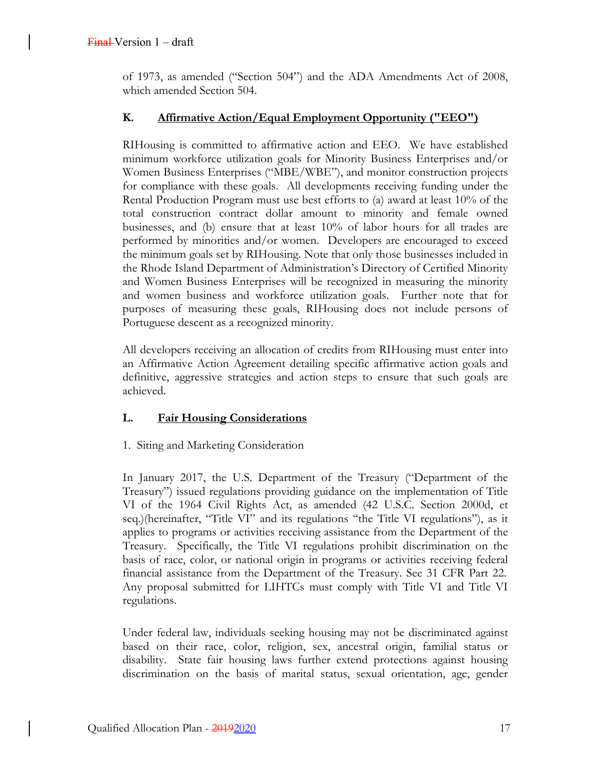of 1973, as amended ("Section 504") and the ADA Amendments Act of 2008, which amended Section 504.

### **K. Affirmative Action/Equal Employment Opportunity ("EEO")**

RIHousing is committed to affirmative action and EEO. We have established minimum workforce utilization goals for Minority Business Enterprises and/or Women Business Enterprises ("MBE/WBE"), and monitor construction projects for compliance with these goals. All developments receiving funding under the Rental Production Program must use best efforts to (a) award at least 10% of the total construction contract dollar amount to minority and female owned businesses, and (b) ensure that at least 10% of labor hours for all trades are performed by minorities and/or women. Developers are encouraged to exceed the minimum goals set by RIHousing. Note that only those businesses included in the Rhode Island Department of Administration's Directory of Certified Minority and Women Business Enterprises will be recognized in measuring the minority and women business and workforce utilization goals. Further note that for purposes of measuring these goals, RIHousing does not include persons of Portuguese descent as a recognized minority.

All developers receiving an allocation of credits from RIHousing must enter into an Affirmative Action Agreement detailing specific affirmative action goals and definitive, aggressive strategies and action steps to ensure that such goals are achieved.

#### **L. Fair Housing Considerations**

1. Siting and Marketing Consideration

In January 2017, the U.S. Department of the Treasury ("Department of the Treasury") issued regulations providing guidance on the implementation of Title VI of the 1964 Civil Rights Act, as amended (42 U.S.C. Section 2000d, et seq.)(hereinafter, "Title VI" and its regulations "the Title VI regulations"), as it applies to programs or activities receiving assistance from the Department of the Treasury. Specifically, the Title VI regulations prohibit discrimination on the basis of race, color, or national origin in programs or activities receiving federal financial assistance from the Department of the Treasury. See 31 CFR Part 22. Any proposal submitted for LIHTCs must comply with Title VI and Title VI regulations.

Under federal law, individuals seeking housing may not be discriminated against based on their race, color, religion, sex, ancestral origin, familial status or disability. State fair housing laws further extend protections against housing discrimination on the basis of marital status, sexual orientation, age, gender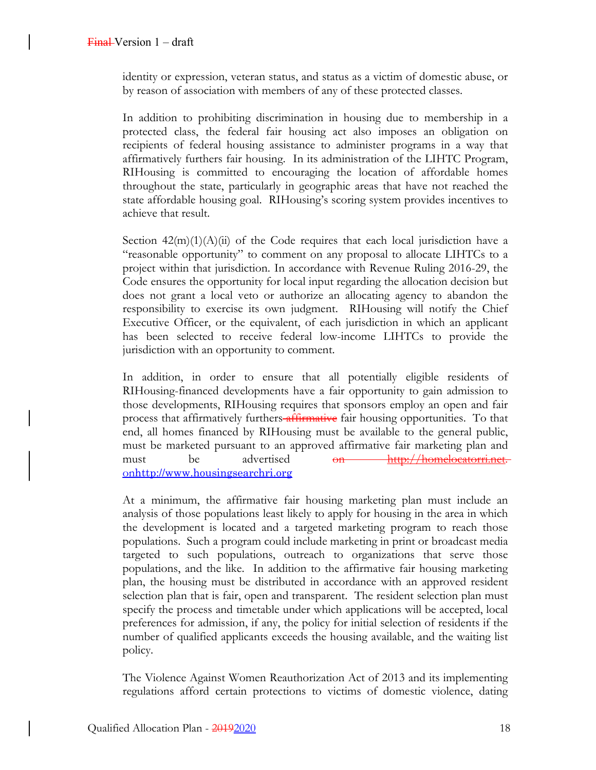identity or expression, veteran status, and status as a victim of domestic abuse, or by reason of association with members of any of these protected classes.

In addition to prohibiting discrimination in housing due to membership in a protected class, the federal fair housing act also imposes an obligation on recipients of federal housing assistance to administer programs in a way that affirmatively furthers fair housing. In its administration of the LIHTC Program, RIHousing is committed to encouraging the location of affordable homes throughout the state, particularly in geographic areas that have not reached the state affordable housing goal. RIHousing's scoring system provides incentives to achieve that result.

Section  $42(m)(1)(A)(ii)$  of the Code requires that each local jurisdiction have a "reasonable opportunity" to comment on any proposal to allocate LIHTCs to a project within that jurisdiction. In accordance with Revenue Ruling 2016-29, the Code ensures the opportunity for local input regarding the allocation decision but does not grant a local veto or authorize an allocating agency to abandon the responsibility to exercise its own judgment. RIHousing will notify the Chief Executive Officer, or the equivalent, of each jurisdiction in which an applicant has been selected to receive federal low-income LIHTCs to provide the jurisdiction with an opportunity to comment.

In addition, in order to ensure that all potentially eligible residents of RIHousing-financed developments have a fair opportunity to gain admission to those developments, RIHousing requires that sponsors employ an open and fair process that affirmatively furthers-affirmative fair housing opportunities. To that end, all homes financed by RIHousing must be available to the general public, must be marketed pursuant to an approved affirmative fair marketing plan and must be advertised <del>on http://homelocatorri.net.</del> onhttp://www.housingsearchri.org

At a minimum, the affirmative fair housing marketing plan must include an analysis of those populations least likely to apply for housing in the area in which the development is located and a targeted marketing program to reach those populations. Such a program could include marketing in print or broadcast media targeted to such populations, outreach to organizations that serve those populations, and the like. In addition to the affirmative fair housing marketing plan, the housing must be distributed in accordance with an approved resident selection plan that is fair, open and transparent. The resident selection plan must specify the process and timetable under which applications will be accepted, local preferences for admission, if any, the policy for initial selection of residents if the number of qualified applicants exceeds the housing available, and the waiting list policy.

The Violence Against Women Reauthorization Act of 2013 and its implementing regulations afford certain protections to victims of domestic violence, dating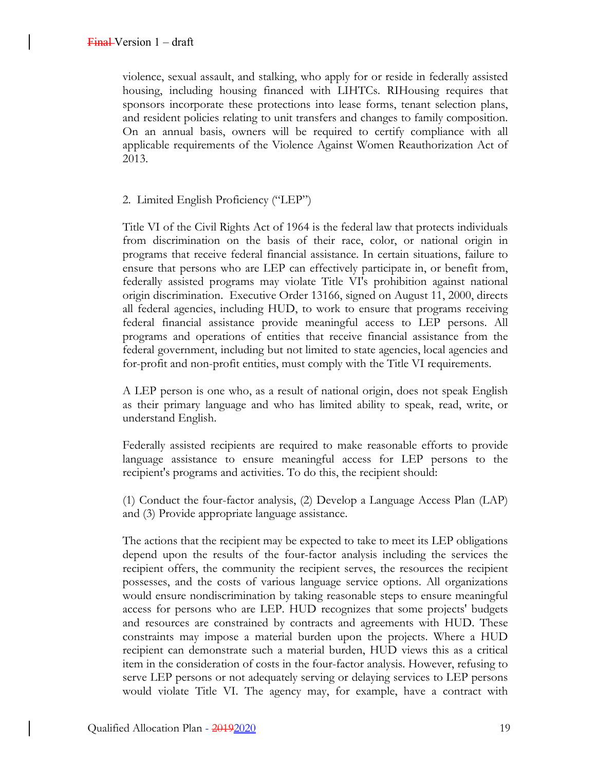violence, sexual assault, and stalking, who apply for or reside in federally assisted housing, including housing financed with LIHTCs. RIHousing requires that sponsors incorporate these protections into lease forms, tenant selection plans, and resident policies relating to unit transfers and changes to family composition. On an annual basis, owners will be required to certify compliance with all applicable requirements of the Violence Against Women Reauthorization Act of 2013.

#### 2. Limited English Proficiency ("LEP")

Title VI of the Civil Rights Act of 1964 is the federal law that protects individuals from discrimination on the basis of their race, color, or national origin in programs that receive federal financial assistance. In certain situations, failure to ensure that persons who are LEP can effectively participate in, or benefit from, federally assisted programs may violate Title VI's prohibition against national origin discrimination. Executive Order 13166, signed on August 11, 2000, directs all federal agencies, including HUD, to work to ensure that programs receiving federal financial assistance provide meaningful access to LEP persons. All programs and operations of entities that receive financial assistance from the federal government, including but not limited to state agencies, local agencies and for-profit and non-profit entities, must comply with the Title VI requirements.

A LEP person is one who, as a result of national origin, does not speak English as their primary language and who has limited ability to speak, read, write, or understand English.

Federally assisted recipients are required to make reasonable efforts to provide language assistance to ensure meaningful access for LEP persons to the recipient's programs and activities. To do this, the recipient should:

(1) Conduct the four-factor analysis, (2) Develop a Language Access Plan (LAP) and (3) Provide appropriate language assistance.

The actions that the recipient may be expected to take to meet its LEP obligations depend upon the results of the four-factor analysis including the services the recipient offers, the community the recipient serves, the resources the recipient possesses, and the costs of various language service options. All organizations would ensure nondiscrimination by taking reasonable steps to ensure meaningful access for persons who are LEP. HUD recognizes that some projects' budgets and resources are constrained by contracts and agreements with HUD. These constraints may impose a material burden upon the projects. Where a HUD recipient can demonstrate such a material burden, HUD views this as a critical item in the consideration of costs in the four-factor analysis. However, refusing to serve LEP persons or not adequately serving or delaying services to LEP persons would violate Title VI. The agency may, for example, have a contract with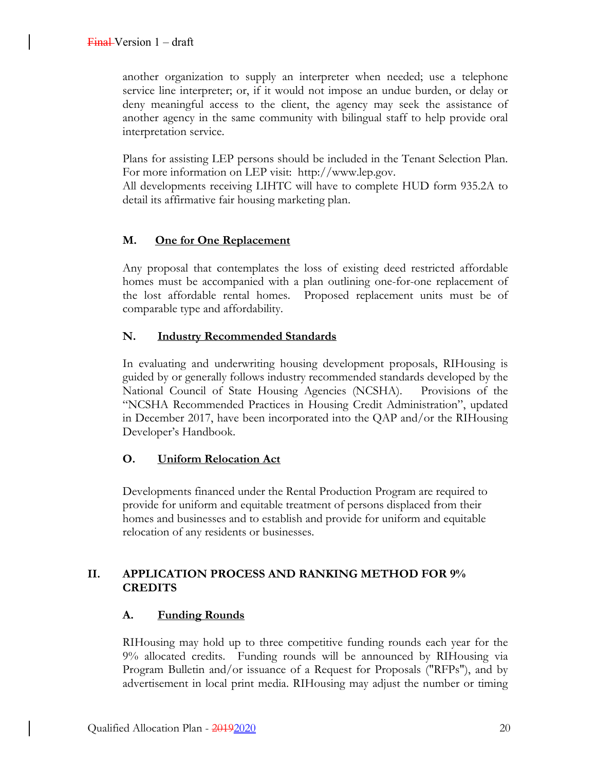another organization to supply an interpreter when needed; use a telephone service line interpreter; or, if it would not impose an undue burden, or delay or deny meaningful access to the client, the agency may seek the assistance of another agency in the same community with bilingual staff to help provide oral interpretation service.

Plans for assisting LEP persons should be included in the Tenant Selection Plan. For more information on LEP visit: http://www.lep.gov.

All developments receiving LIHTC will have to complete HUD form 935.2A to detail its affirmative fair housing marketing plan.

### **M. One for One Replacement**

Any proposal that contemplates the loss of existing deed restricted affordable homes must be accompanied with a plan outlining one-for-one replacement of the lost affordable rental homes. Proposed replacement units must be of comparable type and affordability.

#### **N. Industry Recommended Standards**

In evaluating and underwriting housing development proposals, RIHousing is guided by or generally follows industry recommended standards developed by the National Council of State Housing Agencies (NCSHA). Provisions of the "NCSHA Recommended Practices in Housing Credit Administration", updated in December 2017, have been incorporated into the QAP and/or the RIHousing Developer's Handbook.

#### **O. Uniform Relocation Act**

Developments financed under the Rental Production Program are required to provide for uniform and equitable treatment of persons displaced from their homes and businesses and to establish and provide for uniform and equitable relocation of any residents or businesses.

### **II. APPLICATION PROCESS AND RANKING METHOD FOR 9% CREDITS**

#### **A. Funding Rounds**

RIHousing may hold up to three competitive funding rounds each year for the 9% allocated credits. Funding rounds will be announced by RIHousing via Program Bulletin and/or issuance of a Request for Proposals ("RFPs"), and by advertisement in local print media. RIHousing may adjust the number or timing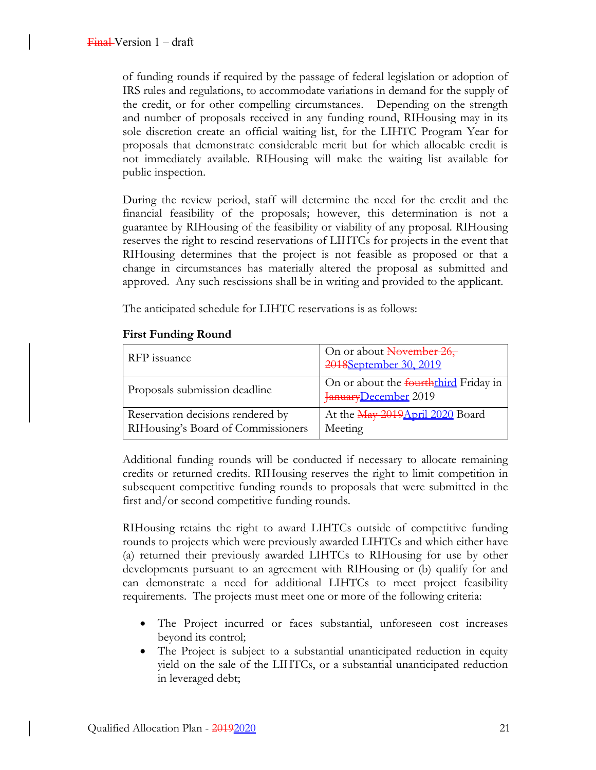of funding rounds if required by the passage of federal legislation or adoption of IRS rules and regulations, to accommodate variations in demand for the supply of the credit, or for other compelling circumstances. Depending on the strength and number of proposals received in any funding round, RIHousing may in its sole discretion create an official waiting list, for the LIHTC Program Year for proposals that demonstrate considerable merit but for which allocable credit is not immediately available. RIHousing will make the waiting list available for public inspection.

During the review period, staff will determine the need for the credit and the financial feasibility of the proposals; however, this determination is not a guarantee by RIHousing of the feasibility or viability of any proposal. RIHousing reserves the right to rescind reservations of LIHTCs for projects in the event that RIHousing determines that the project is not feasible as proposed or that a change in circumstances has materially altered the proposal as submitted and approved. Any such rescissions shall be in writing and provided to the applicant.

The anticipated schedule for LIHTC reservations is as follows:

#### **First Funding Round**

| RFP issuance                                                            | On or about November 26,<br>2018September 30, 2019                    |
|-------------------------------------------------------------------------|-----------------------------------------------------------------------|
| Proposals submission deadline                                           | On or about the fourththird Friday in<br><b>January</b> December 2019 |
| Reservation decisions rendered by<br>RIHousing's Board of Commissioners | At the May 2019 April 2020 Board<br>Meeting                           |

Additional funding rounds will be conducted if necessary to allocate remaining credits or returned credits. RIHousing reserves the right to limit competition in subsequent competitive funding rounds to proposals that were submitted in the first and/or second competitive funding rounds.

RIHousing retains the right to award LIHTCs outside of competitive funding rounds to projects which were previously awarded LIHTCs and which either have (a) returned their previously awarded LIHTCs to RIHousing for use by other developments pursuant to an agreement with RIHousing or (b) qualify for and can demonstrate a need for additional LIHTCs to meet project feasibility requirements. The projects must meet one or more of the following criteria:

- The Project incurred or faces substantial, unforeseen cost increases beyond its control;
- The Project is subject to a substantial unanticipated reduction in equity yield on the sale of the LIHTCs, or a substantial unanticipated reduction in leveraged debt;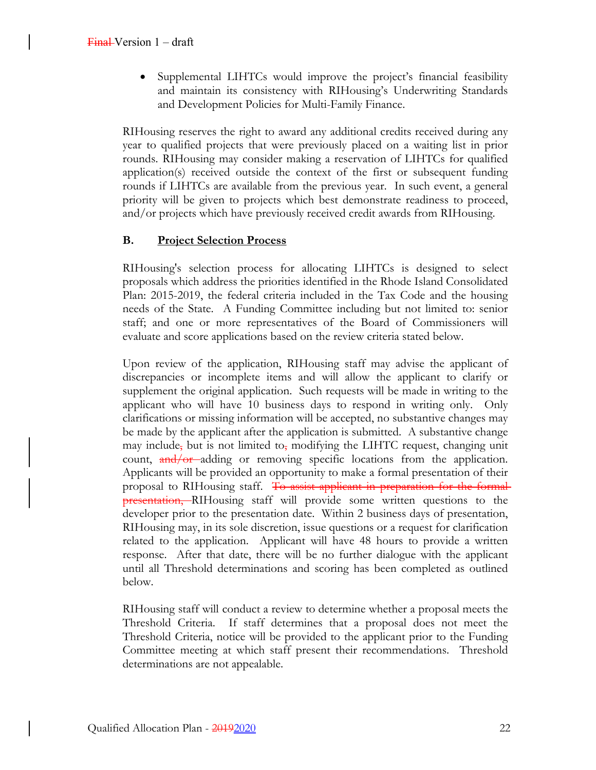Supplemental LIHTCs would improve the project's financial feasibility and maintain its consistency with RIHousing's Underwriting Standards and Development Policies for Multi-Family Finance.

RIHousing reserves the right to award any additional credits received during any year to qualified projects that were previously placed on a waiting list in prior rounds. RIHousing may consider making a reservation of LIHTCs for qualified application(s) received outside the context of the first or subsequent funding rounds if LIHTCs are available from the previous year. In such event, a general priority will be given to projects which best demonstrate readiness to proceed, and/or projects which have previously received credit awards from RIHousing.

#### **B. Project Selection Process**

RIHousing's selection process for allocating LIHTCs is designed to select proposals which address the priorities identified in the Rhode Island Consolidated Plan: 2015-2019, the federal criteria included in the Tax Code and the housing needs of the State. A Funding Committee including but not limited to: senior staff; and one or more representatives of the Board of Commissioners will evaluate and score applications based on the review criteria stated below.

Upon review of the application, RIHousing staff may advise the applicant of discrepancies or incomplete items and will allow the applicant to clarify or supplement the original application. Such requests will be made in writing to the applicant who will have 10 business days to respond in writing only. Only clarifications or missing information will be accepted, no substantive changes may be made by the applicant after the application is submitted. A substantive change may include, but is not limited to, modifying the LIHTC request, changing unit count, and/or adding or removing specific locations from the application. Applicants will be provided an opportunity to make a formal presentation of their proposal to RIHousing staff. To assist applicant in preparation for the formal**presentation,** RIHousing staff will provide some written questions to the developer prior to the presentation date. Within 2 business days of presentation, RIHousing may, in its sole discretion, issue questions or a request for clarification related to the application. Applicant will have 48 hours to provide a written response. After that date, there will be no further dialogue with the applicant until all Threshold determinations and scoring has been completed as outlined below.

RIHousing staff will conduct a review to determine whether a proposal meets the Threshold Criteria. If staff determines that a proposal does not meet the Threshold Criteria, notice will be provided to the applicant prior to the Funding Committee meeting at which staff present their recommendations. Threshold determinations are not appealable.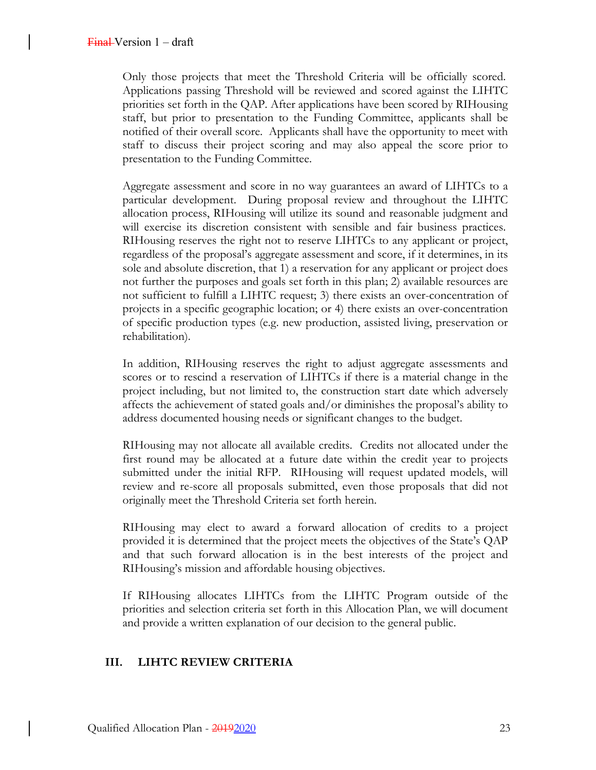Only those projects that meet the Threshold Criteria will be officially scored. Applications passing Threshold will be reviewed and scored against the LIHTC priorities set forth in the QAP. After applications have been scored by RIHousing staff, but prior to presentation to the Funding Committee, applicants shall be notified of their overall score. Applicants shall have the opportunity to meet with staff to discuss their project scoring and may also appeal the score prior to presentation to the Funding Committee.

Aggregate assessment and score in no way guarantees an award of LIHTCs to a particular development. During proposal review and throughout the LIHTC allocation process, RIHousing will utilize its sound and reasonable judgment and will exercise its discretion consistent with sensible and fair business practices. RIHousing reserves the right not to reserve LIHTCs to any applicant or project, regardless of the proposal's aggregate assessment and score, if it determines, in its sole and absolute discretion, that 1) a reservation for any applicant or project does not further the purposes and goals set forth in this plan; 2) available resources are not sufficient to fulfill a LIHTC request; 3) there exists an over-concentration of projects in a specific geographic location; or 4) there exists an over-concentration of specific production types (e.g. new production, assisted living, preservation or rehabilitation).

In addition, RIHousing reserves the right to adjust aggregate assessments and scores or to rescind a reservation of LIHTCs if there is a material change in the project including, but not limited to, the construction start date which adversely affects the achievement of stated goals and/or diminishes the proposal's ability to address documented housing needs or significant changes to the budget.

RIHousing may not allocate all available credits. Credits not allocated under the first round may be allocated at a future date within the credit year to projects submitted under the initial RFP. RIHousing will request updated models, will review and re-score all proposals submitted, even those proposals that did not originally meet the Threshold Criteria set forth herein.

RIHousing may elect to award a forward allocation of credits to a project provided it is determined that the project meets the objectives of the State's QAP and that such forward allocation is in the best interests of the project and RIHousing's mission and affordable housing objectives.

If RIHousing allocates LIHTCs from the LIHTC Program outside of the priorities and selection criteria set forth in this Allocation Plan, we will document and provide a written explanation of our decision to the general public.

## **III. LIHTC REVIEW CRITERIA**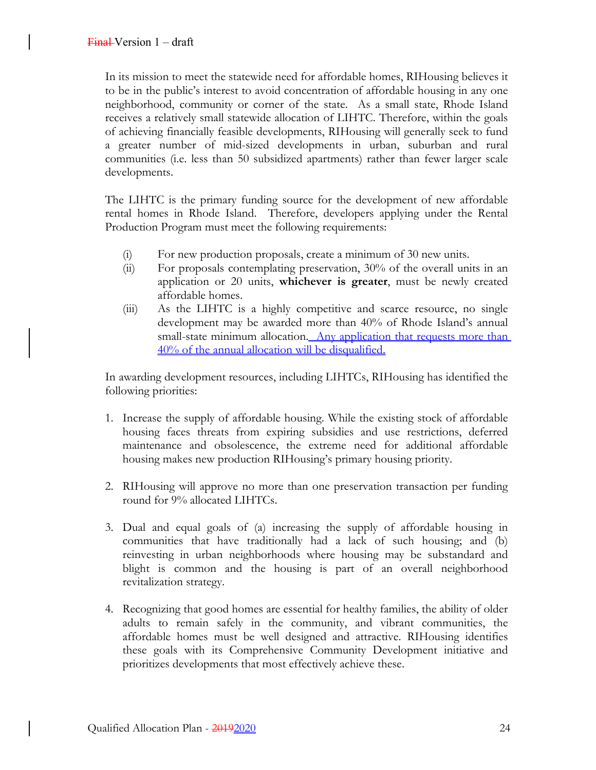In its mission to meet the statewide need for affordable homes, RIHousing believes it to be in the public's interest to avoid concentration of affordable housing in any one neighborhood, community or corner of the state. As a small state, Rhode Island receives a relatively small statewide allocation of LIHTC. Therefore, within the goals of achieving financially feasible developments, RIHousing will generally seek to fund a greater number of mid-sized developments in urban, suburban and rural communities (i.e. less than 50 subsidized apartments) rather than fewer larger scale developments.

The LIHTC is the primary funding source for the development of new affordable rental homes in Rhode Island. Therefore, developers applying under the Rental Production Program must meet the following requirements:

- (i) For new production proposals, create a minimum of 30 new units.
- (ii) For proposals contemplating preservation, 30% of the overall units in an application or 20 units, **whichever is greater**, must be newly created affordable homes.
- (iii) As the LIHTC is a highly competitive and scarce resource, no single development may be awarded more than 40% of Rhode Island's annual small-state minimum allocation. Any application that requests more than 40% of the annual allocation will be disqualified.

In awarding development resources, including LIHTCs, RIHousing has identified the following priorities:

- 1. Increase the supply of affordable housing. While the existing stock of affordable housing faces threats from expiring subsidies and use restrictions, deferred maintenance and obsolescence, the extreme need for additional affordable housing makes new production RIHousing's primary housing priority.
- 2. RIHousing will approve no more than one preservation transaction per funding round for 9% allocated LIHTCs.
- 3. Dual and equal goals of (a) increasing the supply of affordable housing in communities that have traditionally had a lack of such housing; and (b) reinvesting in urban neighborhoods where housing may be substandard and blight is common and the housing is part of an overall neighborhood revitalization strategy.
- 4. Recognizing that good homes are essential for healthy families, the ability of older adults to remain safely in the community, and vibrant communities, the affordable homes must be well designed and attractive. RIHousing identifies these goals with its Comprehensive Community Development initiative and prioritizes developments that most effectively achieve these.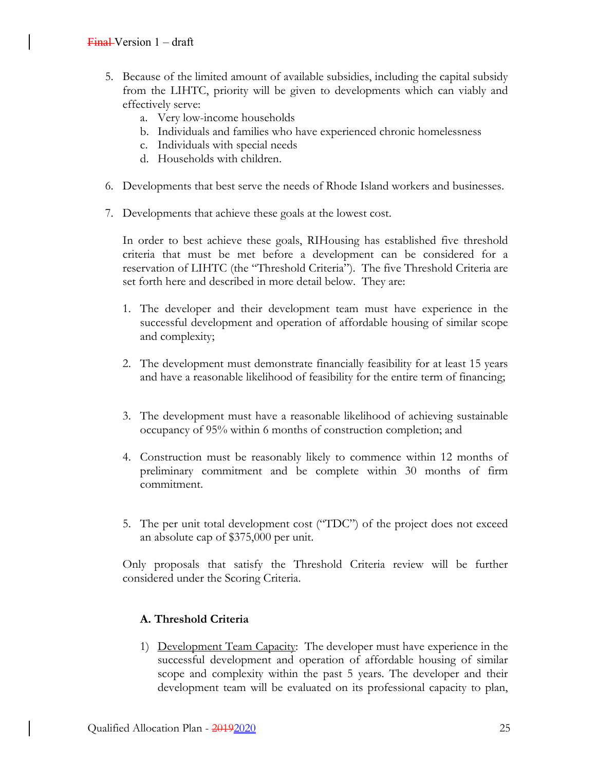- 5. Because of the limited amount of available subsidies, including the capital subsidy from the LIHTC, priority will be given to developments which can viably and effectively serve:
	- a. Very low-income households
	- b. Individuals and families who have experienced chronic homelessness
	- c. Individuals with special needs
	- d. Households with children.
- 6. Developments that best serve the needs of Rhode Island workers and businesses.
- 7. Developments that achieve these goals at the lowest cost.

In order to best achieve these goals, RIHousing has established five threshold criteria that must be met before a development can be considered for a reservation of LIHTC (the "Threshold Criteria"). The five Threshold Criteria are set forth here and described in more detail below. They are:

- 1. The developer and their development team must have experience in the successful development and operation of affordable housing of similar scope and complexity;
- 2. The development must demonstrate financially feasibility for at least 15 years and have a reasonable likelihood of feasibility for the entire term of financing;
- 3. The development must have a reasonable likelihood of achieving sustainable occupancy of 95% within 6 months of construction completion; and
- 4. Construction must be reasonably likely to commence within 12 months of preliminary commitment and be complete within 30 months of firm commitment.
- 5. The per unit total development cost ("TDC") of the project does not exceed an absolute cap of \$375,000 per unit.

Only proposals that satisfy the Threshold Criteria review will be further considered under the Scoring Criteria.

## **A. Threshold Criteria**

1) Development Team Capacity: The developer must have experience in the successful development and operation of affordable housing of similar scope and complexity within the past 5 years. The developer and their development team will be evaluated on its professional capacity to plan,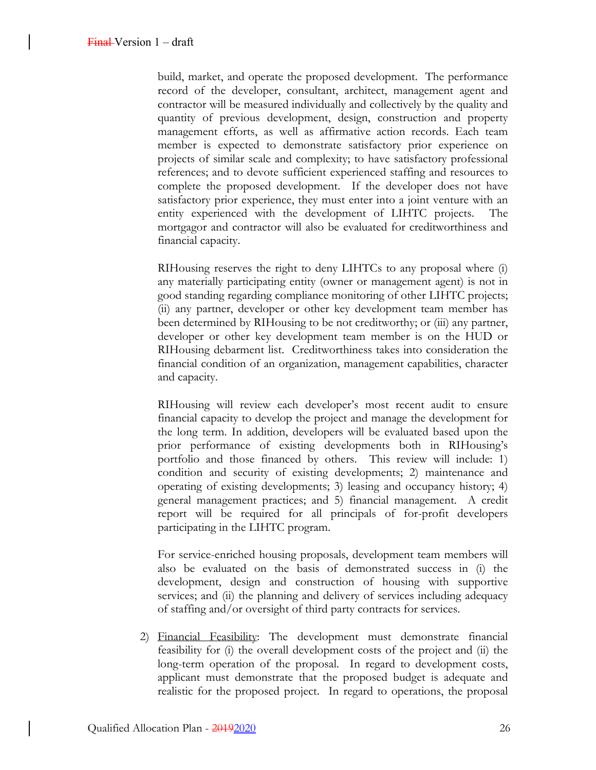build, market, and operate the proposed development. The performance record of the developer, consultant, architect, management agent and contractor will be measured individually and collectively by the quality and quantity of previous development, design, construction and property management efforts, as well as affirmative action records. Each team member is expected to demonstrate satisfactory prior experience on projects of similar scale and complexity; to have satisfactory professional references; and to devote sufficient experienced staffing and resources to complete the proposed development. If the developer does not have satisfactory prior experience, they must enter into a joint venture with an entity experienced with the development of LIHTC projects. The mortgagor and contractor will also be evaluated for creditworthiness and financial capacity.

RIHousing reserves the right to deny LIHTCs to any proposal where (i) any materially participating entity (owner or management agent) is not in good standing regarding compliance monitoring of other LIHTC projects; (ii) any partner, developer or other key development team member has been determined by RIHousing to be not creditworthy; or (iii) any partner, developer or other key development team member is on the HUD or RIHousing debarment list. Creditworthiness takes into consideration the financial condition of an organization, management capabilities, character and capacity.

RIHousing will review each developer's most recent audit to ensure financial capacity to develop the project and manage the development for the long term. In addition, developers will be evaluated based upon the prior performance of existing developments both in RIHousing's portfolio and those financed by others. This review will include: 1) condition and security of existing developments; 2) maintenance and operating of existing developments; 3) leasing and occupancy history; 4) general management practices; and 5) financial management. A credit report will be required for all principals of for-profit developers participating in the LIHTC program.

For service-enriched housing proposals, development team members will also be evaluated on the basis of demonstrated success in (i) the development, design and construction of housing with supportive services; and (ii) the planning and delivery of services including adequacy of staffing and/or oversight of third party contracts for services.

2) Financial Feasibility: The development must demonstrate financial feasibility for (i) the overall development costs of the project and (ii) the long-term operation of the proposal. In regard to development costs, applicant must demonstrate that the proposed budget is adequate and realistic for the proposed project. In regard to operations, the proposal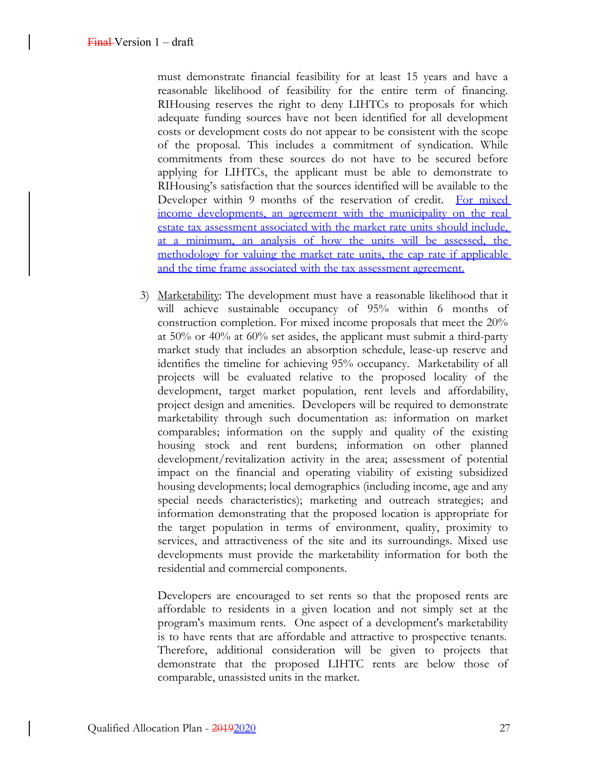must demonstrate financial feasibility for at least 15 years and have a reasonable likelihood of feasibility for the entire term of financing. RIHousing reserves the right to deny LIHTCs to proposals for which adequate funding sources have not been identified for all development costs or development costs do not appear to be consistent with the scope of the proposal. This includes a commitment of syndication. While commitments from these sources do not have to be secured before applying for LIHTCs, the applicant must be able to demonstrate to RIHousing's satisfaction that the sources identified will be available to the Developer within 9 months of the reservation of credit. For mixed income developments, an agreement with the municipality on the real estate tax assessment associated with the market rate units should include, at a minimum, an analysis of how the units will be assessed, the methodology for valuing the market rate units, the cap rate if applicable and the time frame associated with the tax assessment agreement.

3) Marketability: The development must have a reasonable likelihood that it will achieve sustainable occupancy of 95% within 6 months of construction completion. For mixed income proposals that meet the 20% at 50% or 40% at 60% set asides, the applicant must submit a third-party market study that includes an absorption schedule, lease-up reserve and identifies the timeline for achieving 95% occupancy. Marketability of all projects will be evaluated relative to the proposed locality of the development, target market population, rent levels and affordability, project design and amenities. Developers will be required to demonstrate marketability through such documentation as: information on market comparables; information on the supply and quality of the existing housing stock and rent burdens; information on other planned development/revitalization activity in the area; assessment of potential impact on the financial and operating viability of existing subsidized housing developments; local demographics (including income, age and any special needs characteristics); marketing and outreach strategies; and information demonstrating that the proposed location is appropriate for the target population in terms of environment, quality, proximity to services, and attractiveness of the site and its surroundings. Mixed use developments must provide the marketability information for both the residential and commercial components.

Developers are encouraged to set rents so that the proposed rents are affordable to residents in a given location and not simply set at the program's maximum rents. One aspect of a development's marketability is to have rents that are affordable and attractive to prospective tenants. Therefore, additional consideration will be given to projects that demonstrate that the proposed LIHTC rents are below those of comparable, unassisted units in the market.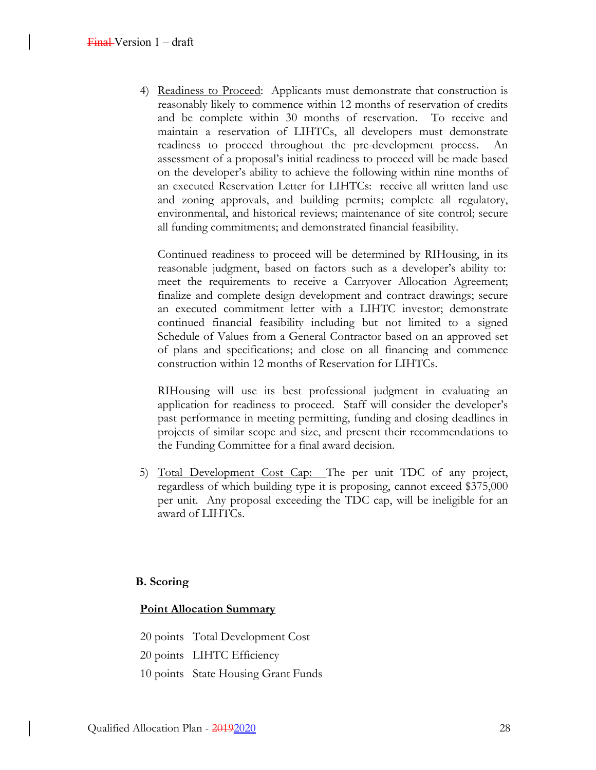4) Readiness to Proceed: Applicants must demonstrate that construction is reasonably likely to commence within 12 months of reservation of credits and be complete within 30 months of reservation. To receive and maintain a reservation of LIHTCs, all developers must demonstrate readiness to proceed throughout the pre-development process. An assessment of a proposal's initial readiness to proceed will be made based on the developer's ability to achieve the following within nine months of an executed Reservation Letter for LIHTCs: receive all written land use and zoning approvals, and building permits; complete all regulatory, environmental, and historical reviews; maintenance of site control; secure all funding commitments; and demonstrated financial feasibility.

Continued readiness to proceed will be determined by RIHousing, in its reasonable judgment, based on factors such as a developer's ability to: meet the requirements to receive a Carryover Allocation Agreement; finalize and complete design development and contract drawings; secure an executed commitment letter with a LIHTC investor; demonstrate continued financial feasibility including but not limited to a signed Schedule of Values from a General Contractor based on an approved set of plans and specifications; and close on all financing and commence construction within 12 months of Reservation for LIHTCs.

RIHousing will use its best professional judgment in evaluating an application for readiness to proceed. Staff will consider the developer's past performance in meeting permitting, funding and closing deadlines in projects of similar scope and size, and present their recommendations to the Funding Committee for a final award decision.

5) Total Development Cost Cap: The per unit TDC of any project, regardless of which building type it is proposing, cannot exceed \$375,000 per unit. Any proposal exceeding the TDC cap, will be ineligible for an award of LIHTCs.

#### **B. Scoring**

#### **Point Allocation Summary**

20 points Total Development Cost

20 points LIHTC Efficiency

10 points State Housing Grant Funds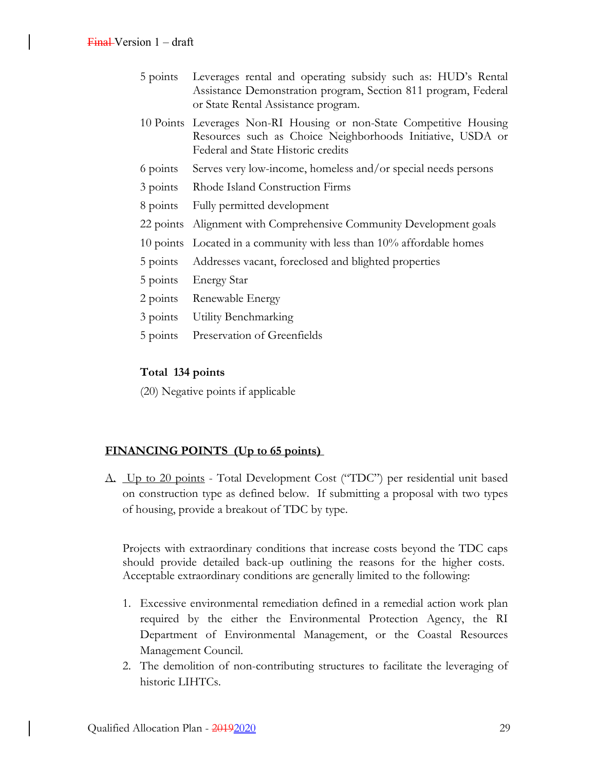- 5 points Leverages rental and operating subsidy such as: HUD's Rental Assistance Demonstration program, Section 811 program, Federal or State Rental Assistance program.
- 10 Points Leverages Non-RI Housing or non-State Competitive Housing Resources such as Choice Neighborhoods Initiative, USDA or Federal and State Historic credits
- 6 points Serves very low-income, homeless and/or special needs persons
- 3 points Rhode Island Construction Firms
- 8 points Fully permitted development
- 22 points Alignment with Comprehensive Community Development goals
- 10 points Located in a community with less than 10% affordable homes
- 5 points Addresses vacant, foreclosed and blighted properties
- 5 points Energy Star
- 2 points Renewable Energy
- 3 points Utility Benchmarking
- 5 points Preservation of Greenfields

#### **Total 134 points**

(20) Negative points if applicable

#### **FINANCING POINTS (Up to 65 points)**

A. Up to 20 points - Total Development Cost ("TDC") per residential unit based on construction type as defined below. If submitting a proposal with two types of housing, provide a breakout of TDC by type.

Projects with extraordinary conditions that increase costs beyond the TDC caps should provide detailed back-up outlining the reasons for the higher costs. Acceptable extraordinary conditions are generally limited to the following:

- 1. Excessive environmental remediation defined in a remedial action work plan required by the either the Environmental Protection Agency, the RI Department of Environmental Management, or the Coastal Resources Management Council.
- 2. The demolition of non-contributing structures to facilitate the leveraging of historic LIHTCs.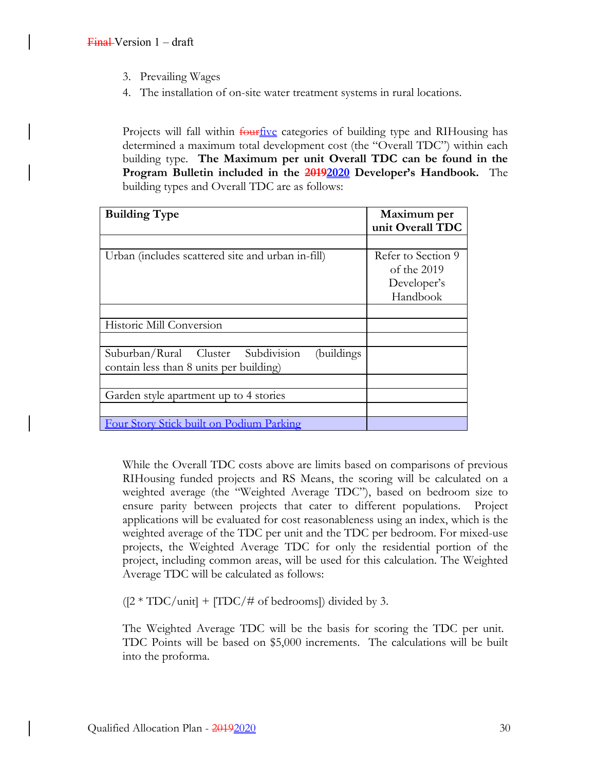- 3. Prevailing Wages
- 4. The installation of on-site water treatment systems in rural locations.

Projects will fall within **four five** categories of building type and RIHousing has determined a maximum total development cost (the "Overall TDC") within each building type. **The Maximum per unit Overall TDC can be found in the Program Bulletin included in the 20192020 Developer's Handbook.** The building types and Overall TDC are as follows:

| <b>Building Type</b>                                 | Maximum per        |
|------------------------------------------------------|--------------------|
|                                                      | unit Overall TDC   |
|                                                      |                    |
| Urban (includes scattered site and urban in-fill)    | Refer to Section 9 |
|                                                      | of the 2019        |
|                                                      | Developer's        |
|                                                      | Handbook           |
|                                                      |                    |
| Historic Mill Conversion                             |                    |
|                                                      |                    |
| Cluster Subdivision<br>Suburban/Rural<br>(buildings) |                    |
| contain less than 8 units per building)              |                    |
|                                                      |                    |
| Garden style apartment up to 4 stories               |                    |
|                                                      |                    |
| Four Story Stick built on Podium Parking             |                    |

While the Overall TDC costs above are limits based on comparisons of previous RIHousing funded projects and RS Means, the scoring will be calculated on a weighted average (the "Weighted Average TDC"), based on bedroom size to ensure parity between projects that cater to different populations. Project applications will be evaluated for cost reasonableness using an index, which is the weighted average of the TDC per unit and the TDC per bedroom. For mixed-use projects, the Weighted Average TDC for only the residential portion of the project, including common areas, will be used for this calculation. The Weighted Average TDC will be calculated as follows:

 $([2 * TDC/unit] + [TDC/# of bedrooms])$  divided by 3.

The Weighted Average TDC will be the basis for scoring the TDC per unit. TDC Points will be based on \$5,000 increments. The calculations will be built into the proforma.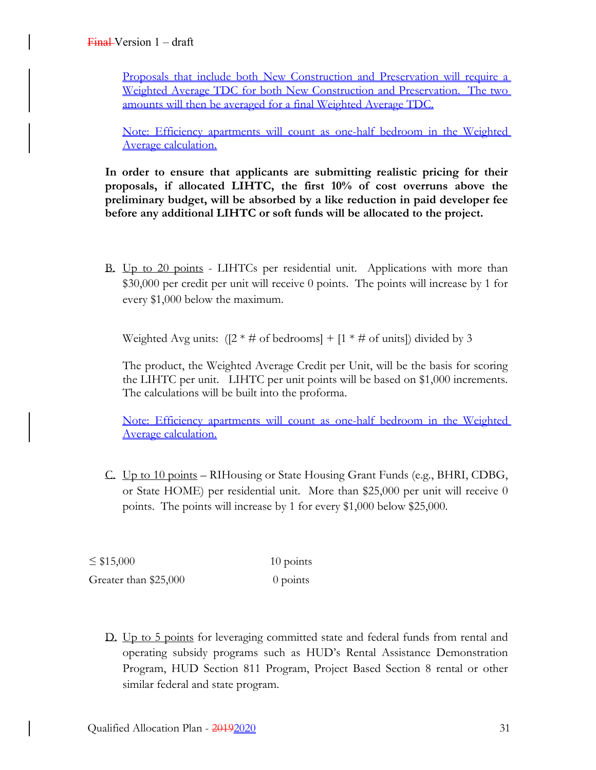Proposals that include both New Construction and Preservation will require a Weighted Average TDC for both New Construction and Preservation. The two amounts will then be averaged for a final Weighted Average TDC.

Note: Efficiency apartments will count as one-half bedroom in the Weighted Average calculation.

**In order to ensure that applicants are submitting realistic pricing for their proposals, if allocated LIHTC, the first 10% of cost overruns above the preliminary budget, will be absorbed by a like reduction in paid developer fee before any additional LIHTC or soft funds will be allocated to the project.**

B. Up to 20 points - LIHTCs per residential unit. Applications with more than \$30,000 per credit per unit will receive 0 points. The points will increase by 1 for every \$1,000 below the maximum.

Weighted Avg units:  $([2 * # of *bedrooms*] + [1 * # of *units*]) divided by 3$ 

The product, the Weighted Average Credit per Unit, will be the basis for scoring the LIHTC per unit. LIHTC per unit points will be based on \$1,000 increments. The calculations will be built into the proforma.

Note: Efficiency apartments will count as one-half bedroom in the Weighted Average calculation.

C. Up to 10 points – RIHousing or State Housing Grant Funds (e.g., BHRI, CDBG, or State HOME) per residential unit. More than \$25,000 per unit will receive 0 points. The points will increase by 1 for every \$1,000 below \$25,000.

| $\leq$ \$15,000       | $10$ points |
|-----------------------|-------------|
| Greater than \$25,000 | $0$ points  |

D. Up to 5 points for leveraging committed state and federal funds from rental and operating subsidy programs such as HUD's Rental Assistance Demonstration Program, HUD Section 811 Program, Project Based Section 8 rental or other similar federal and state program.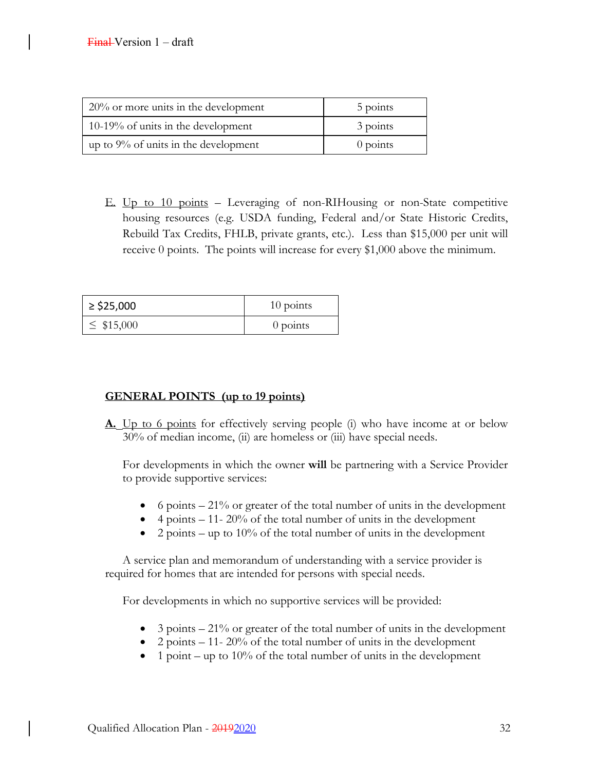| $20\%$ or more units in the development | 5 points   |
|-----------------------------------------|------------|
| $10-19\%$ of units in the development   | 3 points   |
| up to $9\%$ of units in the development | $0$ points |

E. Up to 10 points – Leveraging of non-RIHousing or non-State competitive housing resources (e.g. USDA funding, Federal and/or State Historic Credits, Rebuild Tax Credits, FHLB, private grants, etc.). Less than \$15,000 per unit will receive 0 points. The points will increase for every \$1,000 above the minimum.

| $\ge$ \$25,000  | 10 points  |
|-----------------|------------|
| $\leq$ \$15,000 | $0$ points |

## **GENERAL POINTS (up to 19 points)**

**A.** Up to 6 points for effectively serving people (i) who have income at or below 30% of median income, (ii) are homeless or (iii) have special needs.

For developments in which the owner **will** be partnering with a Service Provider to provide supportive services:

- $\bullet$  6 points  $-21\%$  or greater of the total number of units in the development
- $\bullet$  4 points 11-20% of the total number of units in the development
- 2 points up to 10% of the total number of units in the development

A service plan and memorandum of understanding with a service provider is required for homes that are intended for persons with special needs.

For developments in which no supportive services will be provided:

- $\bullet$  3 points  $-21\%$  or greater of the total number of units in the development
- 2 points  $-11-20\%$  of the total number of units in the development
- 1 point up to 10% of the total number of units in the development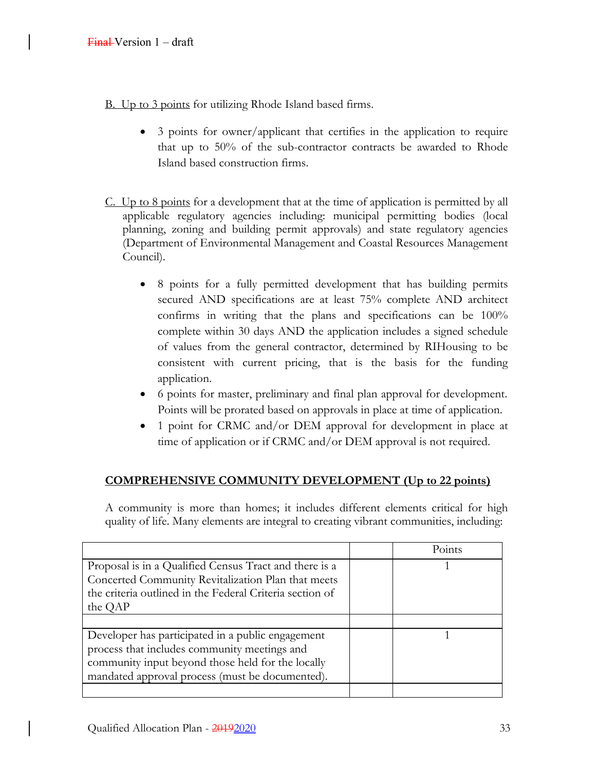B. Up to 3 points for utilizing Rhode Island based firms.

- 3 points for owner/applicant that certifies in the application to require that up to 50% of the sub-contractor contracts be awarded to Rhode Island based construction firms.
- C. Up to 8 points for a development that at the time of application is permitted by all applicable regulatory agencies including: municipal permitting bodies (local planning, zoning and building permit approvals) and state regulatory agencies (Department of Environmental Management and Coastal Resources Management Council).
	- 8 points for a fully permitted development that has building permits secured AND specifications are at least 75% complete AND architect confirms in writing that the plans and specifications can be 100% complete within 30 days AND the application includes a signed schedule of values from the general contractor, determined by RIHousing to be consistent with current pricing, that is the basis for the funding application.
	- 6 points for master, preliminary and final plan approval for development. Points will be prorated based on approvals in place at time of application.
	- 1 point for CRMC and/or DEM approval for development in place at time of application or if CRMC and/or DEM approval is not required.

## **COMPREHENSIVE COMMUNITY DEVELOPMENT (Up to 22 points)**

A community is more than homes; it includes different elements critical for high quality of life. Many elements are integral to creating vibrant communities, including:

|                                                          | Points |
|----------------------------------------------------------|--------|
| Proposal is in a Qualified Census Tract and there is a   |        |
| Concerted Community Revitalization Plan that meets       |        |
| the criteria outlined in the Federal Criteria section of |        |
| the OAP                                                  |        |
|                                                          |        |
| Developer has participated in a public engagement        |        |
| process that includes community meetings and             |        |
| community input beyond those held for the locally        |        |
| mandated approval process (must be documented).          |        |
|                                                          |        |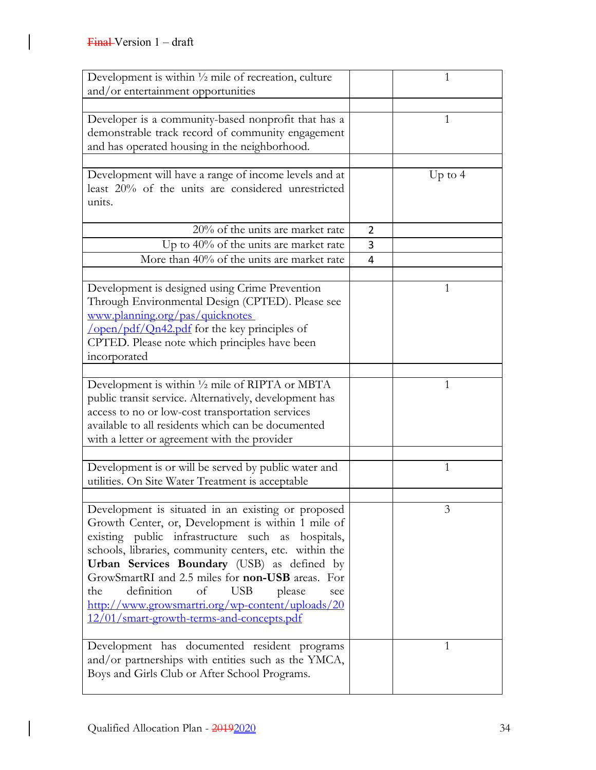$\bigg\}$ 

 $\bigg|$ 

| Development is within $\frac{1}{2}$ mile of recreation, culture                               |   | 1         |
|-----------------------------------------------------------------------------------------------|---|-----------|
| and/or entertainment opportunities                                                            |   |           |
|                                                                                               |   |           |
| Developer is a community-based nonprofit that has a                                           |   | 1         |
| demonstrable track record of community engagement                                             |   |           |
| and has operated housing in the neighborhood.                                                 |   |           |
|                                                                                               |   |           |
| Development will have a range of income levels and at                                         |   | Up to $4$ |
| least 20% of the units are considered unrestricted                                            |   |           |
| units.                                                                                        |   |           |
|                                                                                               |   |           |
| $20\%$ of the units are market rate                                                           | 2 |           |
| Up to 40% of the units are market rate                                                        | 3 |           |
| More than 40% of the units are market rate                                                    | 4 |           |
|                                                                                               |   |           |
| Development is designed using Crime Prevention                                                |   | 1         |
| Through Environmental Design (CPTED). Please see                                              |   |           |
|                                                                                               |   |           |
| www.planning.org/pas/quicknotes                                                               |   |           |
| /open/pdf/Qn42.pdf for the key principles of<br>CPTED. Please note which principles have been |   |           |
| incorporated                                                                                  |   |           |
|                                                                                               |   |           |
|                                                                                               |   |           |
| Development is within 1/2 mile of RIPTA or MBTA                                               |   | 1         |
| public transit service. Alternatively, development has                                        |   |           |
| access to no or low-cost transportation services                                              |   |           |
| available to all residents which can be documented                                            |   |           |
| with a letter or agreement with the provider                                                  |   |           |
|                                                                                               |   |           |
| Development is or will be served by public water and                                          |   | 1         |
| utilities. On Site Water Treatment is acceptable                                              |   |           |
|                                                                                               |   |           |
| Development is situated in an existing or proposed                                            |   | 3         |
| Growth Center, or, Development is within 1 mile of                                            |   |           |
| existing public infrastructure such as hospitals,                                             |   |           |
| schools, libraries, community centers, etc. within the                                        |   |           |
| Urban Services Boundary (USB) as defined by                                                   |   |           |
| GrowSmartRI and 2.5 miles for <b>non-USB</b> areas. For<br>definition                         |   |           |
| of<br><b>USB</b><br>the<br>please<br>see                                                      |   |           |
| http://www.growsmartri.org/wp-content/uploads/20                                              |   |           |
| 12/01/smart-growth-terms-and-concepts.pdf                                                     |   |           |
|                                                                                               |   |           |
| Development has documented resident programs                                                  |   | 1         |
| and/or partnerships with entities such as the YMCA,                                           |   |           |
| Boys and Girls Club or After School Programs.                                                 |   |           |
|                                                                                               |   |           |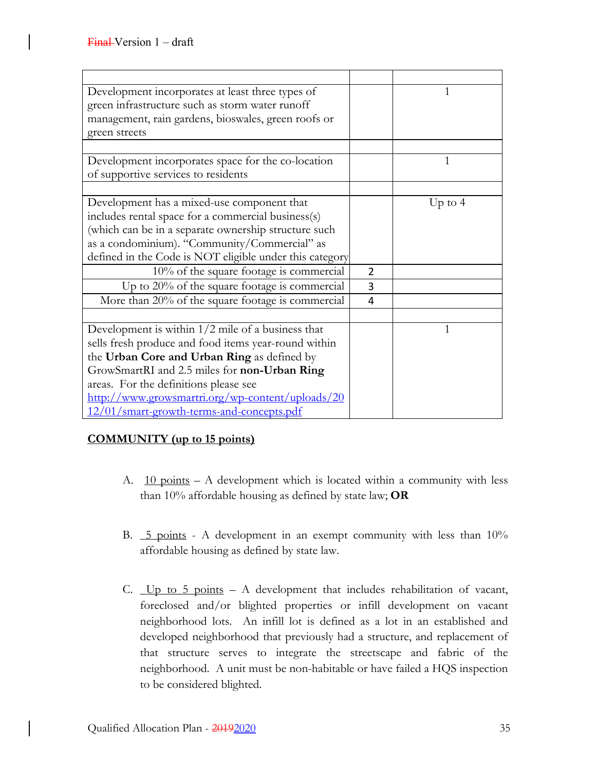| Development incorporates at least three types of        |                |           |
|---------------------------------------------------------|----------------|-----------|
| green infrastructure such as storm water runoff         |                |           |
| management, rain gardens, bioswales, green roofs or     |                |           |
| green streets                                           |                |           |
|                                                         |                |           |
| Development incorporates space for the co-location      |                |           |
| of supportive services to residents                     |                |           |
|                                                         |                |           |
| Development has a mixed-use component that              |                | Up to $4$ |
| includes rental space for a commercial business(s)      |                |           |
| (which can be in a separate ownership structure such    |                |           |
| as a condominium). "Community/Commercial" as            |                |           |
| defined in the Code is NOT eligible under this category |                |           |
| 10% of the square footage is commercial                 | $\overline{2}$ |           |
| Up to $20\%$ of the square footage is commercial        | 3              |           |
| More than 20% of the square footage is commercial       | 4              |           |
|                                                         |                |           |
| Development is within 1/2 mile of a business that       |                |           |
| sells fresh produce and food items year-round within    |                |           |
| the Urban Core and Urban Ring as defined by             |                |           |
| GrowSmartRI and 2.5 miles for non-Urban Ring            |                |           |
| areas. For the definitions please see                   |                |           |
| http://www.growsmartri.org/wp-content/uploads/20        |                |           |
| 12/01/smart-growth-terms-and-concepts.pdf               |                |           |

# **COMMUNITY (up to 15 points)**

- A. 10 points A development which is located within a community with less than 10% affordable housing as defined by state law; **OR**
- B. 5 points A development in an exempt community with less than 10% affordable housing as defined by state law.
- C.  $Up$  to 5 points A development that includes rehabilitation of vacant, foreclosed and/or blighted properties or infill development on vacant neighborhood lots. An infill lot is defined as a lot in an established and developed neighborhood that previously had a structure, and replacement of that structure serves to integrate the streetscape and fabric of the neighborhood. A unit must be non-habitable or have failed a HQS inspection to be considered blighted.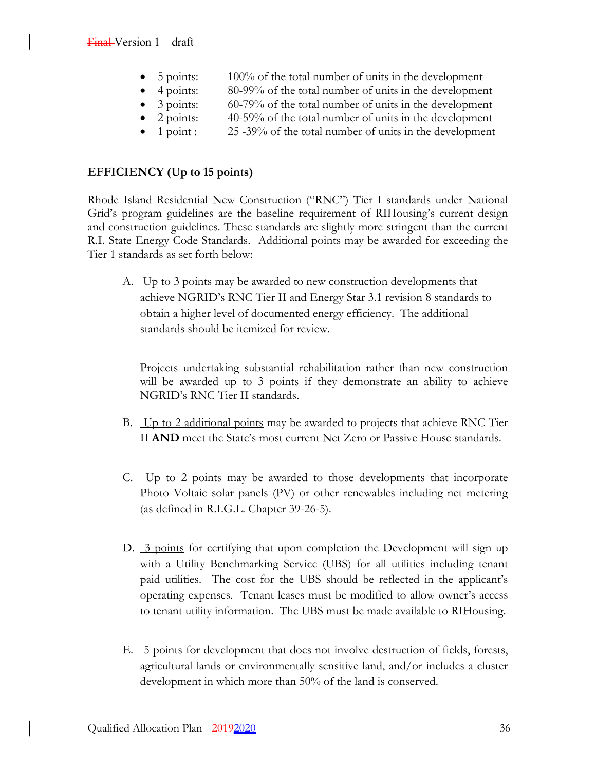- 5 points: 100% of the total number of units in the development
- 4 points: 80-99% of the total number of units in the development
- 3 points: 60-79% of the total number of units in the development
- 2 points: 40-59% of the total number of units in the development
- 1 point : 25 -39% of the total number of units in the development

# **EFFICIENCY (Up to 15 points)**

Rhode Island Residential New Construction ("RNC") Tier I standards under National Grid's program guidelines are the baseline requirement of RIHousing's current design and construction guidelines. These standards are slightly more stringent than the current R.I. State Energy Code Standards. Additional points may be awarded for exceeding the Tier 1 standards as set forth below:

A. Up to 3 points may be awarded to new construction developments that achieve NGRID's RNC Tier II and Energy Star 3.1 revision 8 standards to obtain a higher level of documented energy efficiency. The additional standards should be itemized for review.

Projects undertaking substantial rehabilitation rather than new construction will be awarded up to 3 points if they demonstrate an ability to achieve NGRID's RNC Tier II standards.

- B. Up to 2 additional points may be awarded to projects that achieve RNC Tier II **AND** meet the State's most current Net Zero or Passive House standards.
- C. Up to 2 points may be awarded to those developments that incorporate Photo Voltaic solar panels (PV) or other renewables including net metering (as defined in R.I.G.L. Chapter 39-26-5).
- D. 3 points for certifying that upon completion the Development will sign up with a Utility Benchmarking Service (UBS) for all utilities including tenant paid utilities. The cost for the UBS should be reflected in the applicant's operating expenses. Tenant leases must be modified to allow owner's access to tenant utility information. The UBS must be made available to RIHousing.
- E. 5 points for development that does not involve destruction of fields, forests, agricultural lands or environmentally sensitive land, and/or includes a cluster development in which more than 50% of the land is conserved.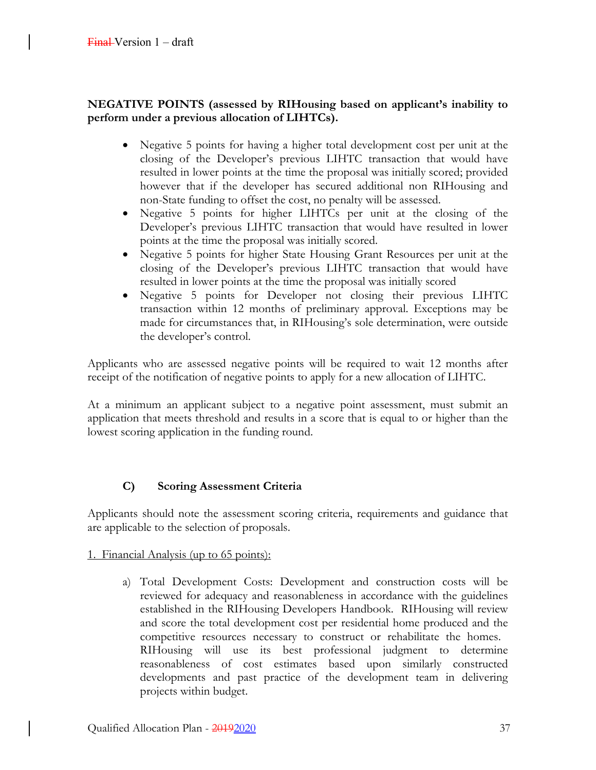### **NEGATIVE POINTS (assessed by RIHousing based on applicant's inability to perform under a previous allocation of LIHTCs).**

- Negative 5 points for having a higher total development cost per unit at the closing of the Developer's previous LIHTC transaction that would have resulted in lower points at the time the proposal was initially scored; provided however that if the developer has secured additional non RIHousing and non-State funding to offset the cost, no penalty will be assessed.
- Negative 5 points for higher LIHTCs per unit at the closing of the Developer's previous LIHTC transaction that would have resulted in lower points at the time the proposal was initially scored.
- Negative 5 points for higher State Housing Grant Resources per unit at the closing of the Developer's previous LIHTC transaction that would have resulted in lower points at the time the proposal was initially scored
- Negative 5 points for Developer not closing their previous LIHTC transaction within 12 months of preliminary approval. Exceptions may be made for circumstances that, in RIHousing's sole determination, were outside the developer's control.

Applicants who are assessed negative points will be required to wait 12 months after receipt of the notification of negative points to apply for a new allocation of LIHTC.

At a minimum an applicant subject to a negative point assessment, must submit an application that meets threshold and results in a score that is equal to or higher than the lowest scoring application in the funding round.

## **C) Scoring Assessment Criteria**

Applicants should note the assessment scoring criteria, requirements and guidance that are applicable to the selection of proposals.

#### 1. Financial Analysis (up to 65 points):

a) Total Development Costs: Development and construction costs will be reviewed for adequacy and reasonableness in accordance with the guidelines established in the RIHousing Developers Handbook. RIHousing will review and score the total development cost per residential home produced and the competitive resources necessary to construct or rehabilitate the homes. RIHousing will use its best professional judgment to determine reasonableness of cost estimates based upon similarly constructed developments and past practice of the development team in delivering projects within budget.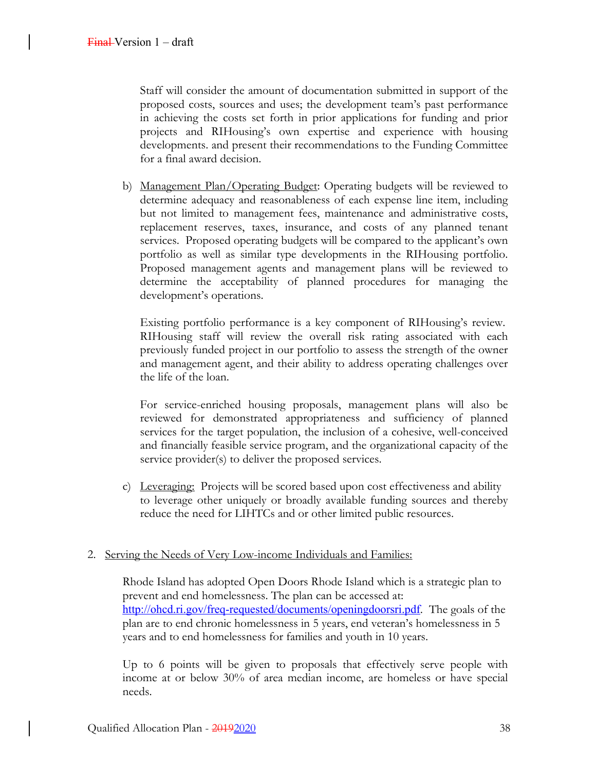Staff will consider the amount of documentation submitted in support of the proposed costs, sources and uses; the development team's past performance in achieving the costs set forth in prior applications for funding and prior projects and RIHousing's own expertise and experience with housing developments. and present their recommendations to the Funding Committee for a final award decision.

b) Management Plan/Operating Budget: Operating budgets will be reviewed to determine adequacy and reasonableness of each expense line item, including but not limited to management fees, maintenance and administrative costs, replacement reserves, taxes, insurance, and costs of any planned tenant services. Proposed operating budgets will be compared to the applicant's own portfolio as well as similar type developments in the RIHousing portfolio. Proposed management agents and management plans will be reviewed to determine the acceptability of planned procedures for managing the development's operations.

Existing portfolio performance is a key component of RIHousing's review. RIHousing staff will review the overall risk rating associated with each previously funded project in our portfolio to assess the strength of the owner and management agent, and their ability to address operating challenges over the life of the loan.

For service-enriched housing proposals, management plans will also be reviewed for demonstrated appropriateness and sufficiency of planned services for the target population, the inclusion of a cohesive, well-conceived and financially feasible service program, and the organizational capacity of the service provider(s) to deliver the proposed services.

c) Leveraging: Projects will be scored based upon cost effectiveness and ability to leverage other uniquely or broadly available funding sources and thereby reduce the need for LIHTCs and or other limited public resources.

#### 2. Serving the Needs of Very Low-income Individuals and Families:

Rhode Island has adopted Open Doors Rhode Island which is a strategic plan to prevent and end homelessness. The plan can be accessed at: http://ohcd.ri.gov/freq-requested/documents/openingdoorsri.pdf. The goals of the plan are to end chronic homelessness in 5 years, end veteran's homelessness in 5 years and to end homelessness for families and youth in 10 years.

Up to 6 points will be given to proposals that effectively serve people with income at or below 30% of area median income, are homeless or have special needs.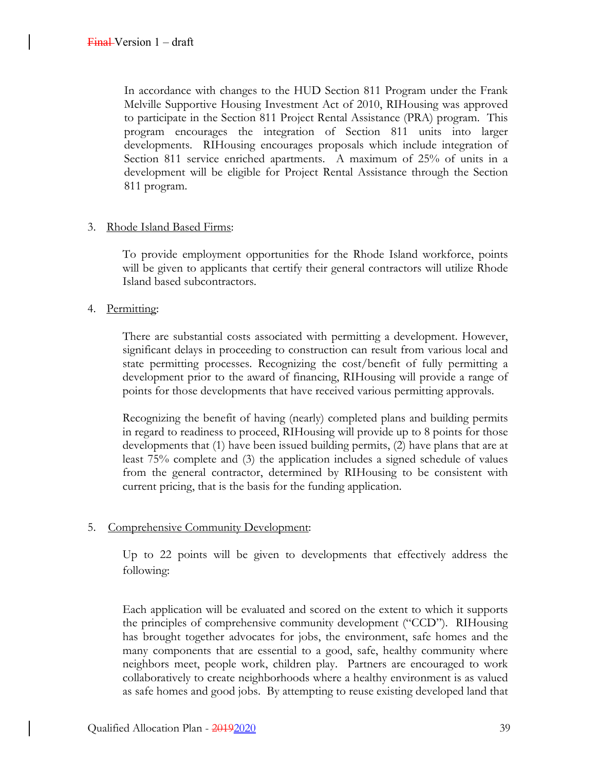In accordance with changes to the HUD Section 811 Program under the Frank Melville Supportive Housing Investment Act of 2010, RIHousing was approved to participate in the Section 811 Project Rental Assistance (PRA) program. This program encourages the integration of Section 811 units into larger developments. RIHousing encourages proposals which include integration of Section 811 service enriched apartments. A maximum of 25% of units in a development will be eligible for Project Rental Assistance through the Section 811 program.

#### 3. Rhode Island Based Firms:

To provide employment opportunities for the Rhode Island workforce, points will be given to applicants that certify their general contractors will utilize Rhode Island based subcontractors.

#### 4. Permitting:

There are substantial costs associated with permitting a development. However, significant delays in proceeding to construction can result from various local and state permitting processes. Recognizing the cost/benefit of fully permitting a development prior to the award of financing, RIHousing will provide a range of points for those developments that have received various permitting approvals.

Recognizing the benefit of having (nearly) completed plans and building permits in regard to readiness to proceed, RIHousing will provide up to 8 points for those developments that (1) have been issued building permits, (2) have plans that are at least 75% complete and (3) the application includes a signed schedule of values from the general contractor, determined by RIHousing to be consistent with current pricing, that is the basis for the funding application.

#### 5. Comprehensive Community Development:

Up to 22 points will be given to developments that effectively address the following:

Each application will be evaluated and scored on the extent to which it supports the principles of comprehensive community development ("CCD"). RIHousing has brought together advocates for jobs, the environment, safe homes and the many components that are essential to a good, safe, healthy community where neighbors meet, people work, children play. Partners are encouraged to work collaboratively to create neighborhoods where a healthy environment is as valued as safe homes and good jobs. By attempting to reuse existing developed land that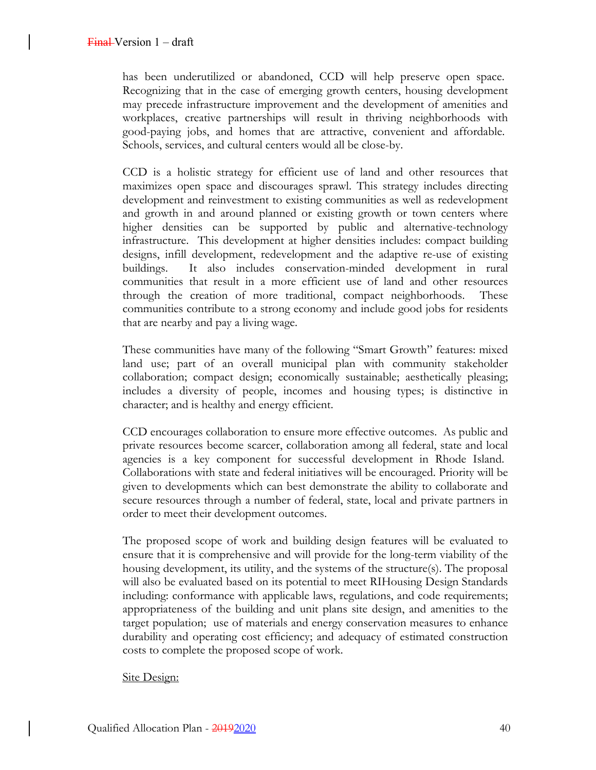has been underutilized or abandoned, CCD will help preserve open space. Recognizing that in the case of emerging growth centers, housing development may precede infrastructure improvement and the development of amenities and workplaces, creative partnerships will result in thriving neighborhoods with good-paying jobs, and homes that are attractive, convenient and affordable. Schools, services, and cultural centers would all be close-by.

CCD is a holistic strategy for efficient use of land and other resources that maximizes open space and discourages sprawl. This strategy includes directing development and reinvestment to existing communities as well as redevelopment and growth in and around planned or existing growth or town centers where higher densities can be supported by public and alternative-technology infrastructure. This development at higher densities includes: compact building designs, infill development, redevelopment and the adaptive re-use of existing buildings. It also includes conservation-minded development in rural communities that result in a more efficient use of land and other resources through the creation of more traditional, compact neighborhoods. These communities contribute to a strong economy and include good jobs for residents that are nearby and pay a living wage.

These communities have many of the following "Smart Growth" features: mixed land use; part of an overall municipal plan with community stakeholder collaboration; compact design; economically sustainable; aesthetically pleasing; includes a diversity of people, incomes and housing types; is distinctive in character; and is healthy and energy efficient.

CCD encourages collaboration to ensure more effective outcomes. As public and private resources become scarcer, collaboration among all federal, state and local agencies is a key component for successful development in Rhode Island. Collaborations with state and federal initiatives will be encouraged. Priority will be given to developments which can best demonstrate the ability to collaborate and secure resources through a number of federal, state, local and private partners in order to meet their development outcomes.

The proposed scope of work and building design features will be evaluated to ensure that it is comprehensive and will provide for the long-term viability of the housing development, its utility, and the systems of the structure(s). The proposal will also be evaluated based on its potential to meet RIHousing Design Standards including: conformance with applicable laws, regulations, and code requirements; appropriateness of the building and unit plans site design, and amenities to the target population; use of materials and energy conservation measures to enhance durability and operating cost efficiency; and adequacy of estimated construction costs to complete the proposed scope of work.

#### Site Design: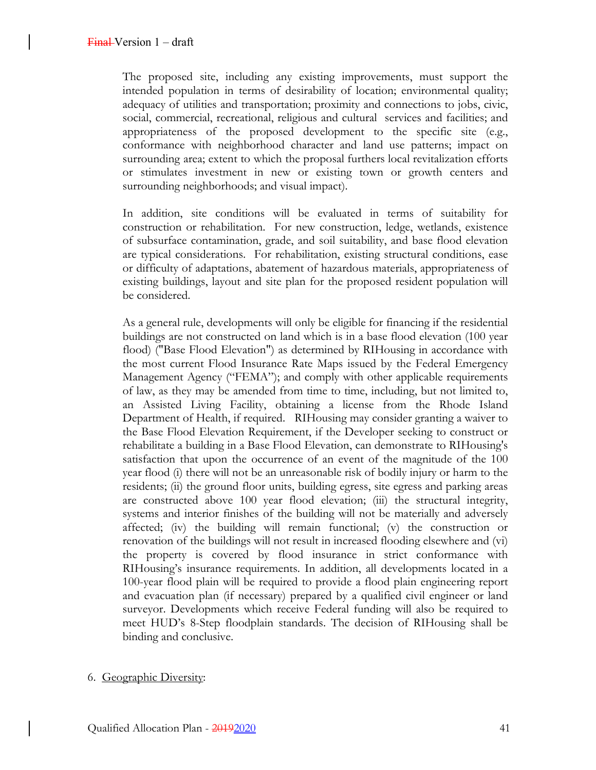The proposed site, including any existing improvements, must support the intended population in terms of desirability of location; environmental quality; adequacy of utilities and transportation; proximity and connections to jobs, civic, social, commercial, recreational, religious and cultural services and facilities; and appropriateness of the proposed development to the specific site (e.g., conformance with neighborhood character and land use patterns; impact on surrounding area; extent to which the proposal furthers local revitalization efforts or stimulates investment in new or existing town or growth centers and surrounding neighborhoods; and visual impact).

In addition, site conditions will be evaluated in terms of suitability for construction or rehabilitation. For new construction, ledge, wetlands, existence of subsurface contamination, grade, and soil suitability, and base flood elevation are typical considerations. For rehabilitation, existing structural conditions, ease or difficulty of adaptations, abatement of hazardous materials, appropriateness of existing buildings, layout and site plan for the proposed resident population will be considered.

As a general rule, developments will only be eligible for financing if the residential buildings are not constructed on land which is in a base flood elevation (100 year flood) ("Base Flood Elevation") as determined by RIHousing in accordance with the most current Flood Insurance Rate Maps issued by the Federal Emergency Management Agency ("FEMA"); and comply with other applicable requirements of law, as they may be amended from time to time, including, but not limited to, an Assisted Living Facility, obtaining a license from the Rhode Island Department of Health, if required. RIHousing may consider granting a waiver to the Base Flood Elevation Requirement, if the Developer seeking to construct or rehabilitate a building in a Base Flood Elevation, can demonstrate to RIHousing's satisfaction that upon the occurrence of an event of the magnitude of the 100 year flood (i) there will not be an unreasonable risk of bodily injury or harm to the residents; (ii) the ground floor units, building egress, site egress and parking areas are constructed above 100 year flood elevation; (iii) the structural integrity, systems and interior finishes of the building will not be materially and adversely affected; (iv) the building will remain functional; (v) the construction or renovation of the buildings will not result in increased flooding elsewhere and (vi) the property is covered by flood insurance in strict conformance with RIHousing's insurance requirements. In addition, all developments located in a 100-year flood plain will be required to provide a flood plain engineering report and evacuation plan (if necessary) prepared by a qualified civil engineer or land surveyor. Developments which receive Federal funding will also be required to meet HUD's 8-Step floodplain standards. The decision of RIHousing shall be binding and conclusive.

6. Geographic Diversity: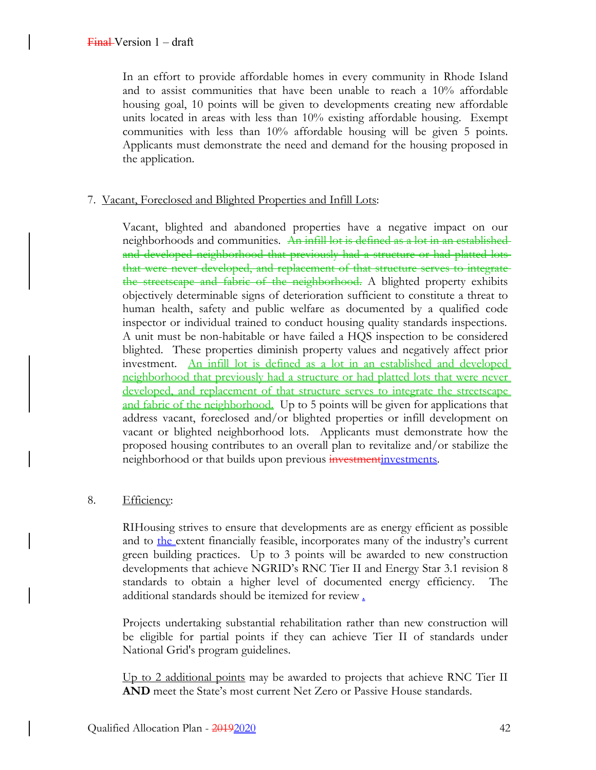In an effort to provide affordable homes in every community in Rhode Island and to assist communities that have been unable to reach a 10% affordable housing goal, 10 points will be given to developments creating new affordable units located in areas with less than 10% existing affordable housing. Exempt communities with less than 10% affordable housing will be given 5 points. Applicants must demonstrate the need and demand for the housing proposed in the application.

#### 7. Vacant, Foreclosed and Blighted Properties and Infill Lots:

Vacant, blighted and abandoned properties have a negative impact on our neighborhoods and communities. An infill lot is defined as a lot in an established and developed neighborhood that previously had a structure or had platted lotsthat were never developed, and replacement of that structure serves to integrate the streetscape and fabric of the neighborhood. A blighted property exhibits objectively determinable signs of deterioration sufficient to constitute a threat to human health, safety and public welfare as documented by a qualified code inspector or individual trained to conduct housing quality standards inspections. A unit must be non-habitable or have failed a HQS inspection to be considered blighted. These properties diminish property values and negatively affect prior investment. An infill lot is defined as a lot in an established and developed neighborhood that previously had a structure or had platted lots that were never developed, and replacement of that structure serves to integrate the streetscape and fabric of the neighborhood. Up to 5 points will be given for applications that address vacant, foreclosed and/or blighted properties or infill development on vacant or blighted neighborhood lots. Applicants must demonstrate how the proposed housing contributes to an overall plan to revitalize and/or stabilize the neighborhood or that builds upon previous investmentinvestments.

#### 8. Efficiency:

RIHousing strives to ensure that developments are as energy efficient as possible and to the extent financially feasible, incorporates many of the industry's current green building practices. Up to 3 points will be awarded to new construction developments that achieve NGRID's RNC Tier II and Energy Star 3.1 revision 8 standards to obtain a higher level of documented energy efficiency. The additional standards should be itemized for review.

Projects undertaking substantial rehabilitation rather than new construction will be eligible for partial points if they can achieve Tier II of standards under National Grid's program guidelines.

Up to 2 additional points may be awarded to projects that achieve RNC Tier II **AND** meet the State's most current Net Zero or Passive House standards.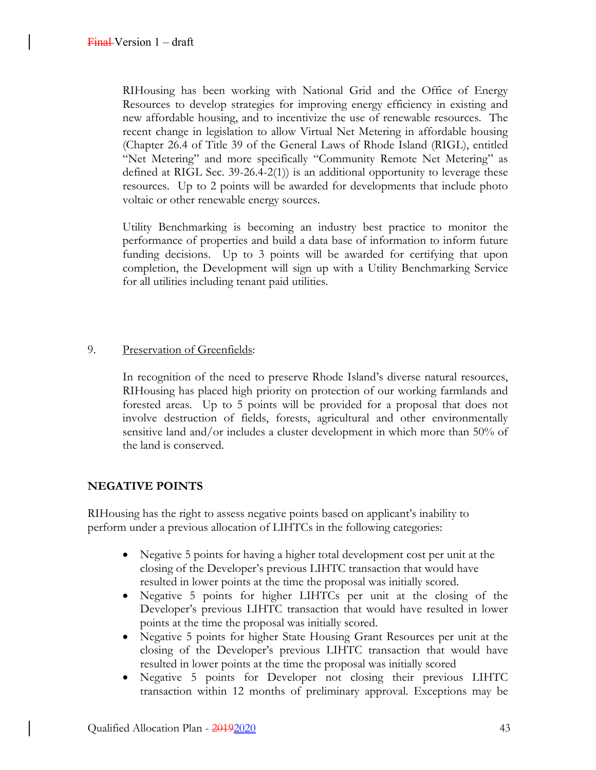RIHousing has been working with National Grid and the Office of Energy Resources to develop strategies for improving energy efficiency in existing and new affordable housing, and to incentivize the use of renewable resources. The recent change in legislation to allow Virtual Net Metering in affordable housing (Chapter 26.4 of Title 39 of the General Laws of Rhode Island (RIGL), entitled "Net Metering" and more specifically "Community Remote Net Metering" as defined at RIGL Sec.  $39-26.4-2(1)$  is an additional opportunity to leverage these resources. Up to 2 points will be awarded for developments that include photo voltaic or other renewable energy sources.

Utility Benchmarking is becoming an industry best practice to monitor the performance of properties and build a data base of information to inform future funding decisions. Up to 3 points will be awarded for certifying that upon completion, the Development will sign up with a Utility Benchmarking Service for all utilities including tenant paid utilities.

### 9. Preservation of Greenfields:

In recognition of the need to preserve Rhode Island's diverse natural resources, RIHousing has placed high priority on protection of our working farmlands and forested areas. Up to 5 points will be provided for a proposal that does not involve destruction of fields, forests, agricultural and other environmentally sensitive land and/or includes a cluster development in which more than 50% of the land is conserved.

## **NEGATIVE POINTS**

RIHousing has the right to assess negative points based on applicant's inability to perform under a previous allocation of LIHTCs in the following categories:

- Negative 5 points for having a higher total development cost per unit at the closing of the Developer's previous LIHTC transaction that would have resulted in lower points at the time the proposal was initially scored.
- Negative 5 points for higher LIHTCs per unit at the closing of the Developer's previous LIHTC transaction that would have resulted in lower points at the time the proposal was initially scored.
- Negative 5 points for higher State Housing Grant Resources per unit at the closing of the Developer's previous LIHTC transaction that would have resulted in lower points at the time the proposal was initially scored
- Negative 5 points for Developer not closing their previous LIHTC transaction within 12 months of preliminary approval. Exceptions may be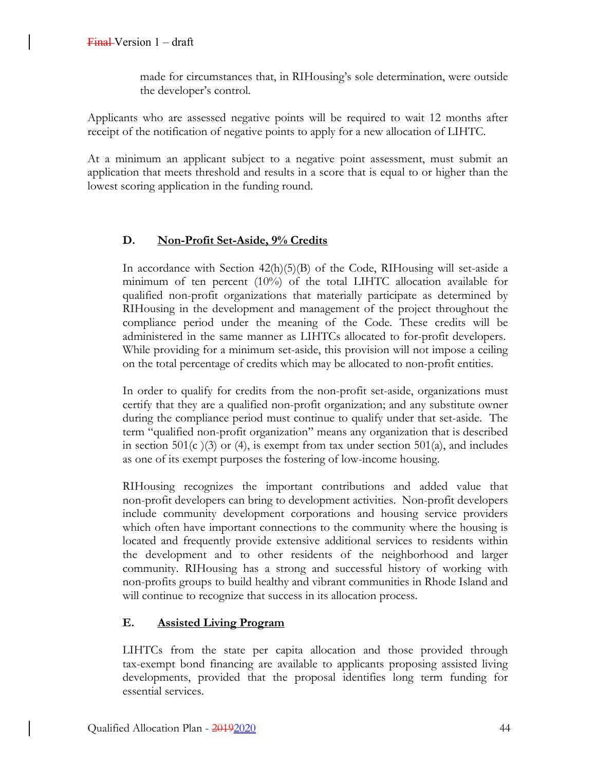made for circumstances that, in RIHousing's sole determination, were outside the developer's control.

Applicants who are assessed negative points will be required to wait 12 months after receipt of the notification of negative points to apply for a new allocation of LIHTC.

At a minimum an applicant subject to a negative point assessment, must submit an application that meets threshold and results in a score that is equal to or higher than the lowest scoring application in the funding round.

## **D. Non-Profit Set-Aside, 9% Credits**

In accordance with Section  $42(h)(5)(B)$  of the Code, RIHousing will set-aside a minimum of ten percent (10%) of the total LIHTC allocation available for qualified non-profit organizations that materially participate as determined by RIHousing in the development and management of the project throughout the compliance period under the meaning of the Code. These credits will be administered in the same manner as LIHTCs allocated to for-profit developers. While providing for a minimum set-aside, this provision will not impose a ceiling on the total percentage of credits which may be allocated to non-profit entities.

In order to qualify for credits from the non-profit set-aside, organizations must certify that they are a qualified non-profit organization; and any substitute owner during the compliance period must continue to qualify under that set-aside. The term "qualified non-profit organization" means any organization that is described in section  $501(c)(3)$  or (4), is exempt from tax under section  $501(a)$ , and includes as one of its exempt purposes the fostering of low-income housing.

RIHousing recognizes the important contributions and added value that non-profit developers can bring to development activities. Non-profit developers include community development corporations and housing service providers which often have important connections to the community where the housing is located and frequently provide extensive additional services to residents within the development and to other residents of the neighborhood and larger community. RIHousing has a strong and successful history of working with non-profits groups to build healthy and vibrant communities in Rhode Island and will continue to recognize that success in its allocation process.

## **E. Assisted Living Program**

LIHTCs from the state per capita allocation and those provided through tax-exempt bond financing are available to applicants proposing assisted living developments, provided that the proposal identifies long term funding for essential services.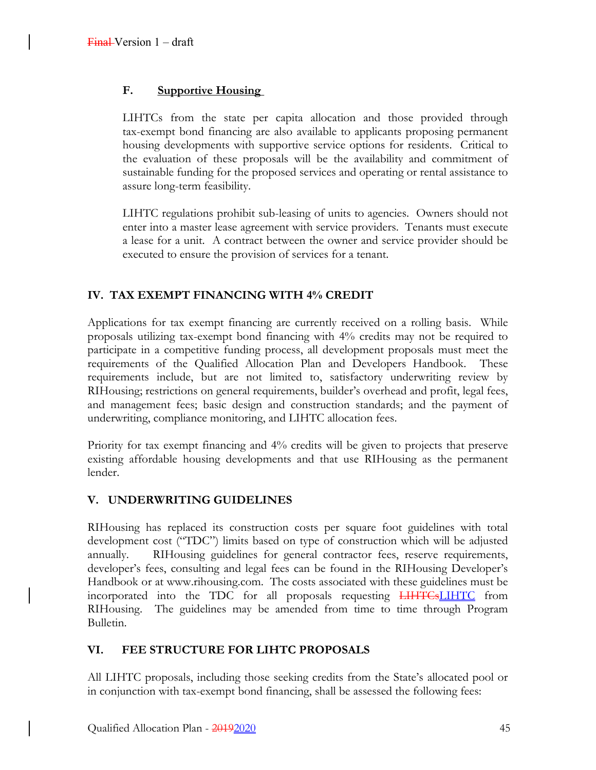## **F. Supportive Housing**

LIHTCs from the state per capita allocation and those provided through tax-exempt bond financing are also available to applicants proposing permanent housing developments with supportive service options for residents. Critical to the evaluation of these proposals will be the availability and commitment of sustainable funding for the proposed services and operating or rental assistance to assure long-term feasibility.

LIHTC regulations prohibit sub-leasing of units to agencies. Owners should not enter into a master lease agreement with service providers. Tenants must execute a lease for a unit. A contract between the owner and service provider should be executed to ensure the provision of services for a tenant.

### **IV. TAX EXEMPT FINANCING WITH 4% CREDIT**

Applications for tax exempt financing are currently received on a rolling basis. While proposals utilizing tax-exempt bond financing with 4% credits may not be required to participate in a competitive funding process, all development proposals must meet the requirements of the Qualified Allocation Plan and Developers Handbook. These requirements include, but are not limited to, satisfactory underwriting review by RIHousing; restrictions on general requirements, builder's overhead and profit, legal fees, and management fees; basic design and construction standards; and the payment of underwriting, compliance monitoring, and LIHTC allocation fees.

Priority for tax exempt financing and 4% credits will be given to projects that preserve existing affordable housing developments and that use RIHousing as the permanent lender.

#### **V. UNDERWRITING GUIDELINES**

RIHousing has replaced its construction costs per square foot guidelines with total development cost ("TDC") limits based on type of construction which will be adjusted annually. RIHousing guidelines for general contractor fees, reserve requirements, developer's fees, consulting and legal fees can be found in the RIHousing Developer's Handbook or at www.rihousing.com. The costs associated with these guidelines must be incorporated into the TDC for all proposals requesting LIHTCsLIHTC from RIHousing. The guidelines may be amended from time to time through Program Bulletin.

## **VI. FEE STRUCTURE FOR LIHTC PROPOSALS**

All LIHTC proposals, including those seeking credits from the State's allocated pool or in conjunction with tax-exempt bond financing, shall be assessed the following fees: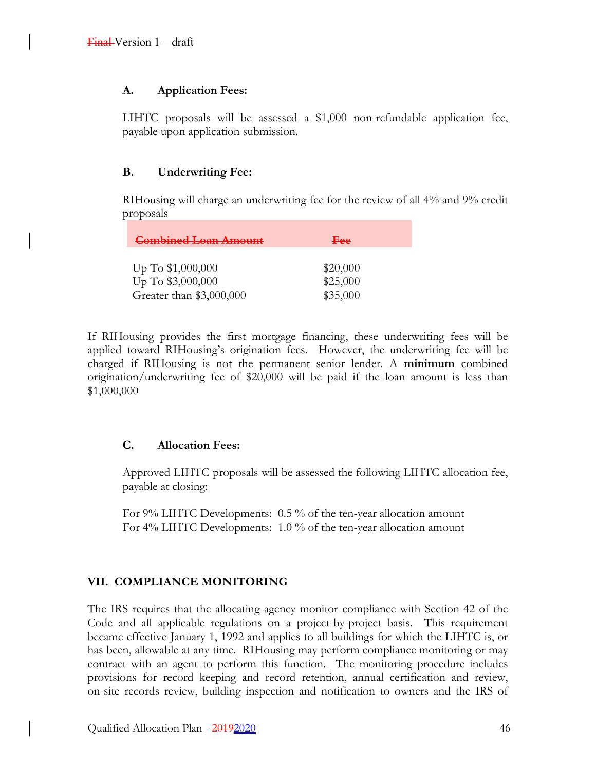#### **A. Application Fees:**

LIHTC proposals will be assessed a \$1,000 non-refundable application fee, payable upon application submission.

## **B. Underwriting Fee:**

RIHousing will charge an underwriting fee for the review of all 4% and 9% credit proposals

| <b>Combined Loan Amount</b>                   | <b>Fee</b>           |
|-----------------------------------------------|----------------------|
| Up To \$1,000,000                             | \$20,000             |
| Up To \$3,000,000<br>Greater than \$3,000,000 | \$25,000<br>\$35,000 |

If RIHousing provides the first mortgage financing, these underwriting fees will be applied toward RIHousing's origination fees. However, the underwriting fee will be charged if RIHousing is not the permanent senior lender. A **minimum** combined origination/underwriting fee of \$20,000 will be paid if the loan amount is less than \$1,000,000

## **C. Allocation Fees:**

Approved LIHTC proposals will be assessed the following LIHTC allocation fee, payable at closing:

For 9% LIHTC Developments: 0.5 % of the ten-year allocation amount For 4% LIHTC Developments: 1.0 % of the ten-year allocation amount

## **VII. COMPLIANCE MONITORING**

The IRS requires that the allocating agency monitor compliance with Section 42 of the Code and all applicable regulations on a project-by-project basis. This requirement became effective January 1, 1992 and applies to all buildings for which the LIHTC is, or has been, allowable at any time. RIHousing may perform compliance monitoring or may contract with an agent to perform this function. The monitoring procedure includes provisions for record keeping and record retention, annual certification and review, on-site records review, building inspection and notification to owners and the IRS of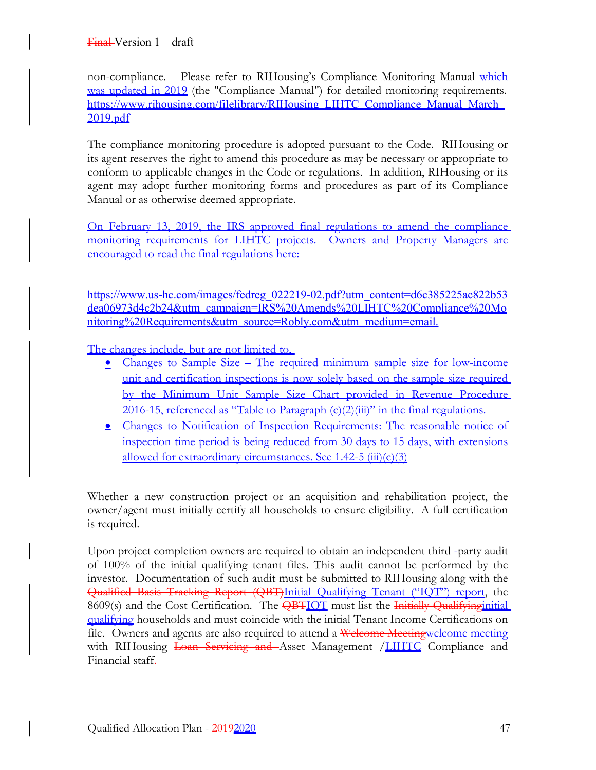$\overline{\text{Final}}$ -Version 1 – draft

non-compliance. Please refer to RIHousing's Compliance Monitoring Manual which was updated in 2019 (the "Compliance Manual") for detailed monitoring requirements. https://www.rihousing.com/filelibrary/RIHousing\_LIHTC\_Compliance\_Manual\_March\_ 2019.pdf

The compliance monitoring procedure is adopted pursuant to the Code. RIHousing or its agent reserves the right to amend this procedure as may be necessary or appropriate to conform to applicable changes in the Code or regulations. In addition, RIHousing or its agent may adopt further monitoring forms and procedures as part of its Compliance Manual or as otherwise deemed appropriate.

On February 13, 2019, the IRS approved final regulations to amend the compliance monitoring requirements for LIHTC projects. Owners and Property Managers are encouraged to read the final regulations here:

https://www.us-hc.com/images/fedreg\_022219-02.pdf?utm\_content=d6c385225ac822b53 dea06973d4c2b24&utm\_campaign=IRS%20Amends%20LIHTC%20Compliance%20Mo nitoring%20Requirements&utm\_source=Robly.com&utm\_medium=email.

The changes include, but are not limited to,

- **<u>Changes to Sample Size The required minimum sample size for low-income</u>** unit and certification inspections is now solely based on the sample size required by the Minimum Unit Sample Size Chart provided in Revenue Procedure 2016-15, referenced as "Table to Paragraph  $(c)(2)(iii)$ " in the final regulations.
- Changes to Notification of Inspection Requirements: The reasonable notice of inspection time period is being reduced from 30 days to 15 days, with extensions allowed for extraordinary circumstances. See  $1.42 - 5$  (iii)(c)(3)

Whether a new construction project or an acquisition and rehabilitation project, the owner/agent must initially certify all households to ensure eligibility. A full certification is required.

Upon project completion owners are required to obtain an independent third -party audit of 100% of the initial qualifying tenant files. This audit cannot be performed by the investor. Documentation of such audit must be submitted to RIHousing along with the Qualified Basis Tracking Report (QBT)Initial Qualifying Tenant ("IQT") report, the 8609(s) and the Cost Certification. The **QBTIQT** must list the Initially Qualifyinginitial qualifying households and must coincide with the initial Tenant Income Certifications on file. Owners and agents are also required to attend a Welcome Meetingwelcome meeting with RIHousing Loan Servicing and Asset Management /LIHTC Compliance and Financial staff.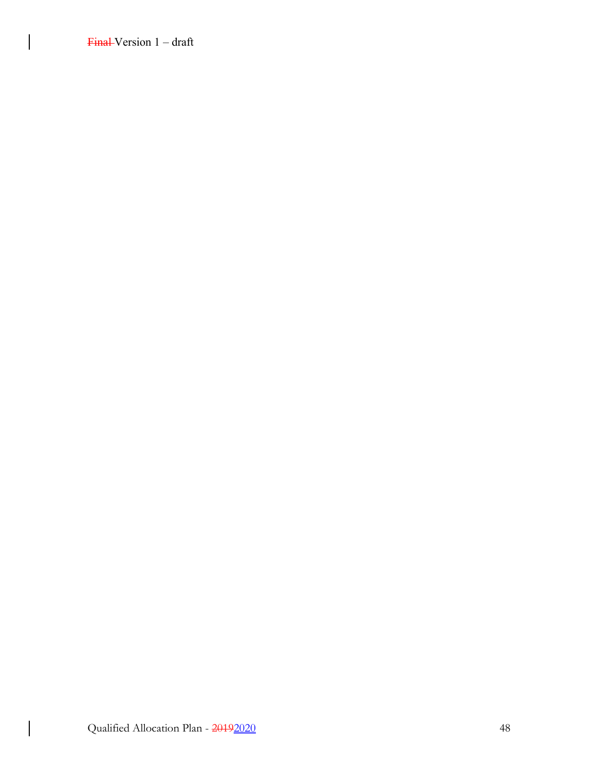Final-Version 1 – draft

 $\bigg\}$ 

 $\big\vert$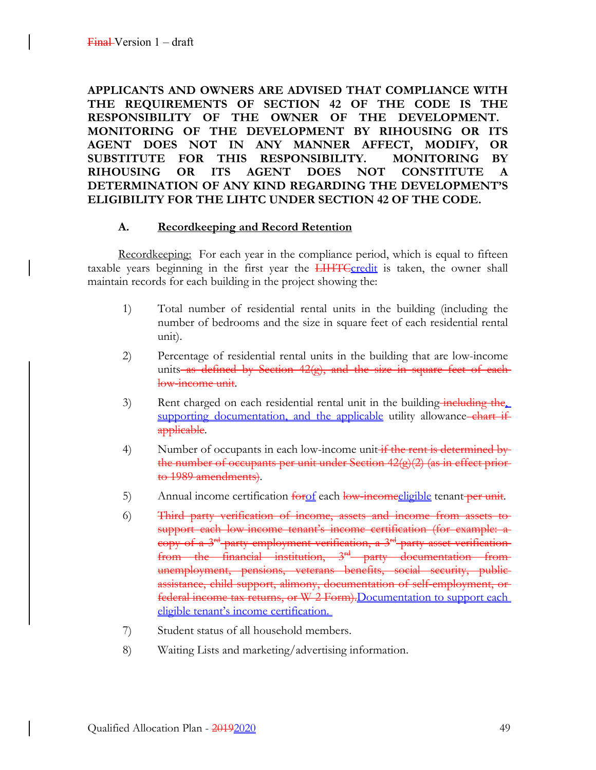**APPLICANTS AND OWNERS ARE ADVISED THAT COMPLIANCE WITH THE REQUIREMENTS OF SECTION 42 OF THE CODE IS THE RESPONSIBILITY OF THE OWNER OF THE DEVELOPMENT. MONITORING OF THE DEVELOPMENT BY RIHOUSING OR ITS AGENT DOES NOT IN ANY MANNER AFFECT, MODIFY, OR SUBSTITUTE FOR THIS RESPONSIBILITY. MONITORING BY RIHOUSING OR ITS AGENT DOES NOT CONSTITUTE A DETERMINATION OF ANY KIND REGARDING THE DEVELOPMENT'S ELIGIBILITY FOR THE LIHTC UNDER SECTION 42 OF THE CODE.**

#### **A. Recordkeeping and Record Retention**

Recordkeeping: For each year in the compliance period, which is equal to fifteen taxable years beginning in the first year the **LIHTCcredit** is taken, the owner shall maintain records for each building in the project showing the:

- 1) Total number of residential rental units in the building (including the number of bedrooms and the size in square feet of each residential rental unit).
- 2) Percentage of residential rental units in the building that are low-income units as defined by Section  $42(g)$ , and the size in square feet of eachlow-income unit.
- 3) Rent charged on each residential rental unit in the building including the supporting documentation, and the applicable utility allowance chart if applicable.
- 4) Number of occupants in each low-income unit  $\frac{1}{2}$  the rent is determined by the number of occupants per unit under Section  $42(g)(2)$  (as in effect priorto 1989 amendments).
- 5) Annual income certification for each low-income ligible tenant per unit.
- 6) Third party verification of income, assets and income from assets to support each low-income tenant's income certification (for example: acopy of a 3rd party employment verification, a 3rd party asset verification from the financial institution, 3rd party documentation from unemployment, pensions, veterans benefits, social security, public assistance, child support, alimony, documentation of self-employment, or federal income tax returns, or W-2 Form).Documentation to support each eligible tenant's income certification.
- 7) Student status of all household members.
- 8) Waiting Lists and marketing/advertising information.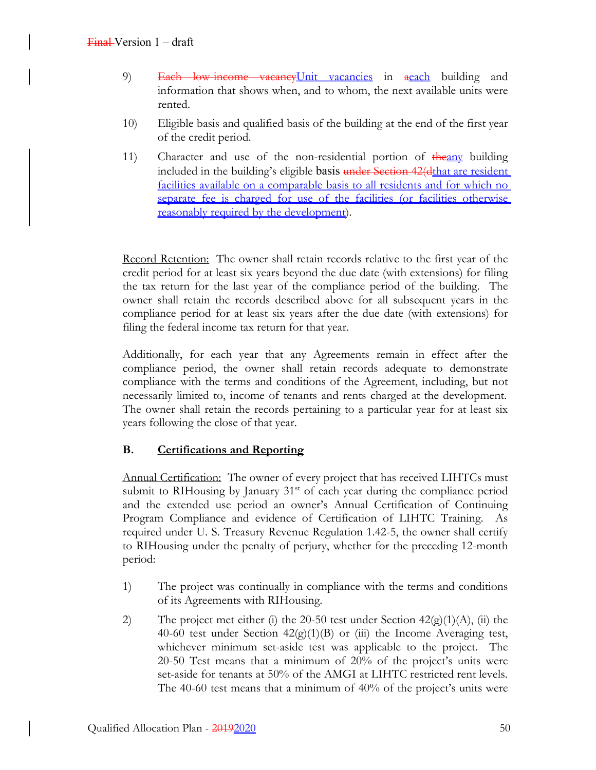- 9) Each low-income vacancyUnit vacancies in aeach building and information that shows when, and to whom, the next available units were rented.
- 10) Eligible basis and qualified basis of the building at the end of the first year of the credit period.
- 11) Character and use of the non-residential portion of the any building included in the building's eligible basis under Section 42(dthat are resident facilities available on a comparable basis to all residents and for which no separate fee is charged for use of the facilities (or facilities otherwise reasonably required by the development).

Record Retention: The owner shall retain records relative to the first year of the credit period for at least six years beyond the due date (with extensions) for filing the tax return for the last year of the compliance period of the building. The owner shall retain the records described above for all subsequent years in the compliance period for at least six years after the due date (with extensions) for filing the federal income tax return for that year.

Additionally, for each year that any Agreements remain in effect after the compliance period, the owner shall retain records adequate to demonstrate compliance with the terms and conditions of the Agreement, including, but not necessarily limited to, income of tenants and rents charged at the development. The owner shall retain the records pertaining to a particular year for at least six years following the close of that year.

## **B. Certifications and Reporting**

Annual Certification: The owner of every project that has received LIHTCs must submit to RIHousing by January 31<sup>st</sup> of each year during the compliance period and the extended use period an owner's Annual Certification of Continuing Program Compliance and evidence of Certification of LIHTC Training. As required under U. S. Treasury Revenue Regulation 1.42-5, the owner shall certify to RIHousing under the penalty of perjury, whether for the preceding 12-month period:

- 1) The project was continually in compliance with the terms and conditions of its Agreements with RIHousing.
- 2) The project met either (i) the 20-50 test under Section  $42(g)(1)(A)$ , (ii) the 40-60 test under Section  $42(g)(1)(B)$  or (iii) the Income Averaging test, whichever minimum set-aside test was applicable to the project. The 20-50 Test means that a minimum of 20% of the project's units were set-aside for tenants at 50% of the AMGI at LIHTC restricted rent levels. The 40-60 test means that a minimum of 40% of the project's units were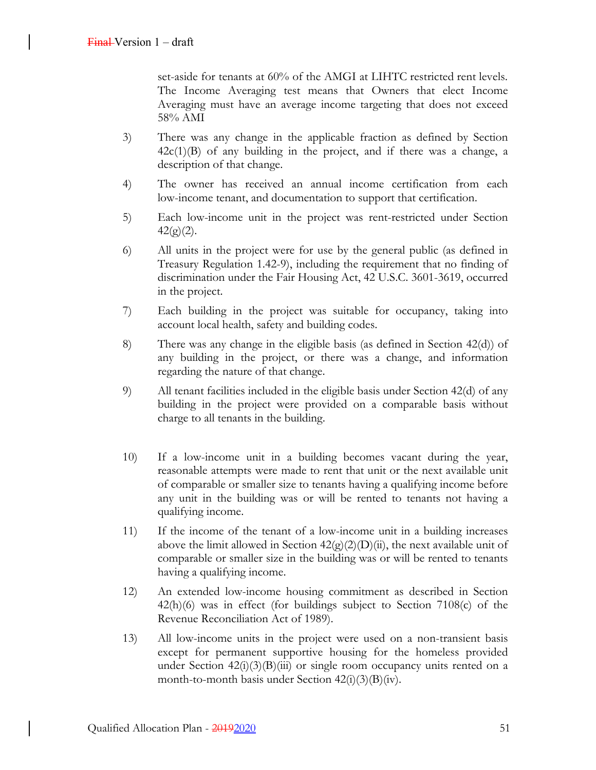set-aside for tenants at 60% of the AMGI at LIHTC restricted rent levels. The Income Averaging test means that Owners that elect Income Averaging must have an average income targeting that does not exceed 58% AMI

- 3) There was any change in the applicable fraction as defined by Section  $42c(1)(B)$  of any building in the project, and if there was a change, a description of that change.
- 4) The owner has received an annual income certification from each low-income tenant, and documentation to support that certification.
- 5) Each low-income unit in the project was rent-restricted under Section  $42(g)(2)$ .
- 6) All units in the project were for use by the general public (as defined in Treasury Regulation 1.42-9), including the requirement that no finding of discrimination under the Fair Housing Act, 42 U.S.C. 3601-3619, occurred in the project.
- 7) Each building in the project was suitable for occupancy, taking into account local health, safety and building codes.
- 8) There was any change in the eligible basis (as defined in Section 42(d)) of any building in the project, or there was a change, and information regarding the nature of that change.
- 9) All tenant facilities included in the eligible basis under Section 42(d) of any building in the project were provided on a comparable basis without charge to all tenants in the building.
- 10) If a low-income unit in a building becomes vacant during the year, reasonable attempts were made to rent that unit or the next available unit of comparable or smaller size to tenants having a qualifying income before any unit in the building was or will be rented to tenants not having a qualifying income.
- 11) If the income of the tenant of a low-income unit in a building increases above the limit allowed in Section  $42(g)(2)(D)(ii)$ , the next available unit of comparable or smaller size in the building was or will be rented to tenants having a qualifying income.
- 12) An extended low-income housing commitment as described in Section 42(h)(6) was in effect (for buildings subject to Section 7108(c) of the Revenue Reconciliation Act of 1989).
- 13) All low-income units in the project were used on a non-transient basis except for permanent supportive housing for the homeless provided under Section  $42(i)(3)(B(iii))$  or single room occupancy units rented on a month-to-month basis under Section  $42(i)(3)(B)(iv)$ .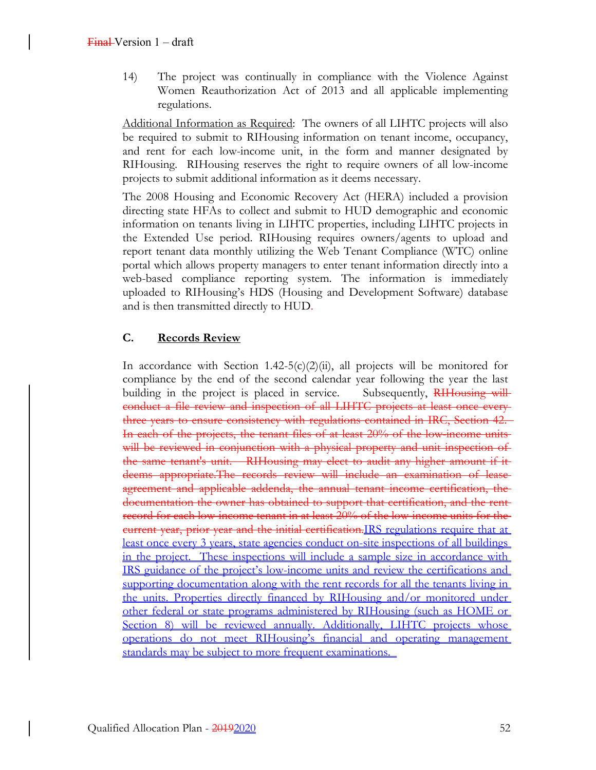14) The project was continually in compliance with the Violence Against Women Reauthorization Act of 2013 and all applicable implementing regulations.

Additional Information as Required: The owners of all LIHTC projects will also be required to submit to RIHousing information on tenant income, occupancy, and rent for each low-income unit, in the form and manner designated by RIHousing. RIHousing reserves the right to require owners of all low-income projects to submit additional information as it deems necessary.

The 2008 Housing and Economic Recovery Act (HERA) included a provision directing state HFAs to collect and submit to HUD demographic and economic information on tenants living in LIHTC properties, including LIHTC projects in the Extended Use period. RIHousing requires owners/agents to upload and report tenant data monthly utilizing the Web Tenant Compliance (WTC) online portal which allows property managers to enter tenant information directly into a web-based compliance reporting system. The information is immediately uploaded to RIHousing's HDS (Housing and Development Software) database and is then transmitted directly to HUD.

## **C. Records Review**

In accordance with Section 1.42-5(c)(2)(ii), all projects will be monitored for compliance by the end of the second calendar year following the year the last building in the project is placed in service. Subsequently, RIHousing will conduct a file review and inspection of all LIHTC projects at least once every three years to ensure consistency with regulations contained in IRC, Section 42. In each of the projects, the tenant files of at least 20% of the low-income units will be reviewed in conjunction with a physical property and unit inspection of the same tenant's unit. RIHousing may elect to audit any higher amount if it deems appropriate.The records review will include an examination of lease agreement and applicable addenda, the annual tenant income certification, the documentation the owner has obtained to support that certification, and the rentrecord for each low-income tenant in at least 20% of the low-income units for the current year, prior year and the initial certification.IRS regulations require that at least once every 3 years, state agencies conduct on-site inspections of all buildings in the project. These inspections will include a sample size in accordance with IRS guidance of the project's low-income units and review the certifications and supporting documentation along with the rent records for all the tenants living in the units. Properties directly financed by RIHousing and/or monitored under other federal or state programs administered by RIHousing (such as HOME or Section 8) will be reviewed annually. Additionally, LIHTC projects whose operations do not meet RIHousing's financial and operating management standards may be subject to more frequent examinations.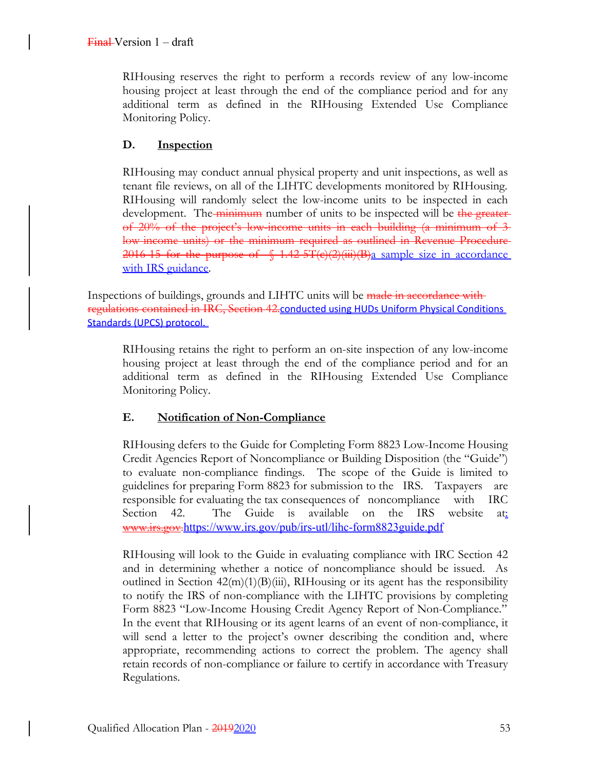RIHousing reserves the right to perform a records review of any low-income housing project at least through the end of the compliance period and for any additional term as defined in the RIHousing Extended Use Compliance Monitoring Policy.

## **D. Inspection**

RIHousing may conduct annual physical property and unit inspections, as well as tenant file reviews, on all of the LIHTC developments monitored by RIHousing. RIHousing will randomly select the low-income units to be inspected in each development. The minimum number of units to be inspected will be the greaterof 20% of the project's low-income units in each building (a minimum of 3 low-income units) or the minimum required as outlined in Revenue Procedure 2016-15 for the purpose of  $\frac{1.42-5T(c)(2)(iii)}{B}$  sample size in accordance with IRS guidance.

Inspections of buildings, grounds and LIHTC units will be made in accordance with regulations contained in IRC, Section 42.conducted using HUDs Uniform Physical Conditions Standards (UPCS) protocol.

RIHousing retains the right to perform an on-site inspection of any low-income housing project at least through the end of the compliance period and for an additional term as defined in the RIHousing Extended Use Compliance Monitoring Policy.

#### **E. Notification of Non-Compliance**

RIHousing defers to the Guide for Completing Form 8823 Low-Income Housing Credit Agencies Report of Noncompliance or Building Disposition (the "Guide") to evaluate non-compliance findings. The scope of the Guide is limited to guidelines for preparing Form 8823 for submission to the IRS. Taxpayers are responsible for evaluating the tax consequences of noncompliance with IRC Section 42. The Guide is available on the IRS website at: www.irs.gov.https://www.irs.gov/pub/irs-utl/lihc-form8823guide.pdf

RIHousing will look to the Guide in evaluating compliance with IRC Section 42 and in determining whether a notice of noncompliance should be issued. As outlined in Section  $42(m)(1)(B)(iii)$ , RIHousing or its agent has the responsibility to notify the IRS of non-compliance with the LIHTC provisions by completing Form 8823 "Low-Income Housing Credit Agency Report of Non-Compliance." In the event that RIHousing or its agent learns of an event of non-compliance, it will send a letter to the project's owner describing the condition and, where appropriate, recommending actions to correct the problem. The agency shall retain records of non-compliance or failure to certify in accordance with Treasury Regulations.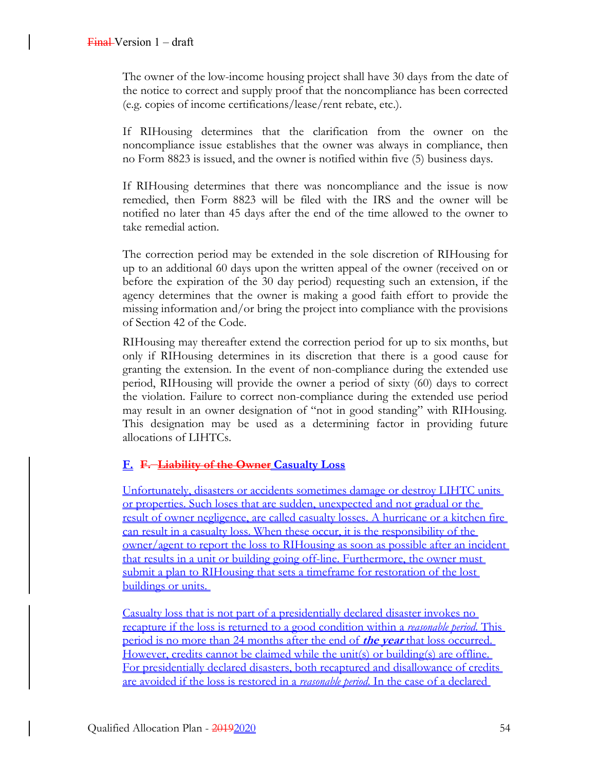The owner of the low-income housing project shall have 30 days from the date of the notice to correct and supply proof that the noncompliance has been corrected (e.g. copies of income certifications/lease/rent rebate, etc.).

If RIHousing determines that the clarification from the owner on the noncompliance issue establishes that the owner was always in compliance, then no Form 8823 is issued, and the owner is notified within five (5) business days.

If RIHousing determines that there was noncompliance and the issue is now remedied, then Form 8823 will be filed with the IRS and the owner will be notified no later than 45 days after the end of the time allowed to the owner to take remedial action.

The correction period may be extended in the sole discretion of RIHousing for up to an additional 60 days upon the written appeal of the owner (received on or before the expiration of the 30 day period) requesting such an extension, if the agency determines that the owner is making a good faith effort to provide the missing information and/or bring the project into compliance with the provisions of Section 42 of the Code.

RIHousing may thereafter extend the correction period for up to six months, but only if RIHousing determines in its discretion that there is a good cause for granting the extension. In the event of non-compliance during the extended use period, RIHousing will provide the owner a period of sixty (60) days to correct the violation. Failure to correct non-compliance during the extended use period may result in an owner designation of "not in good standing" with RIHousing. This designation may be used as a determining factor in providing future allocations of LIHTCs.

## **F. F. Liability of the Owner Casualty Loss**

Unfortunately, disasters or accidents sometimes damage or destroy LIHTC units or properties. Such loses that are sudden, unexpected and not gradual or the result of owner negligence, are called casualty losses. A hurricane or a kitchen fire can result in a casualty loss. When these occur, it is the responsibility of the owner/agent to report the loss to RIHousing as soon as possible after an incident that results in a unit or building going off-line. Furthermore, the owner must submit a plan to RIHousing that sets a timeframe for restoration of the lost buildings or units.

Casualty loss that is not part of a presidentially declared disaster invokes no recapture if the loss is returned to a good condition within a *reasonable period*. This period is no more than 24 months after the end of **the year** that loss occurred. However, credits cannot be claimed while the unit(s) or building(s) are offline. For presidentially declared disasters, both recaptured and disallowance of credits are avoided if the loss is restored in a *reasonable period*. In the case of a declared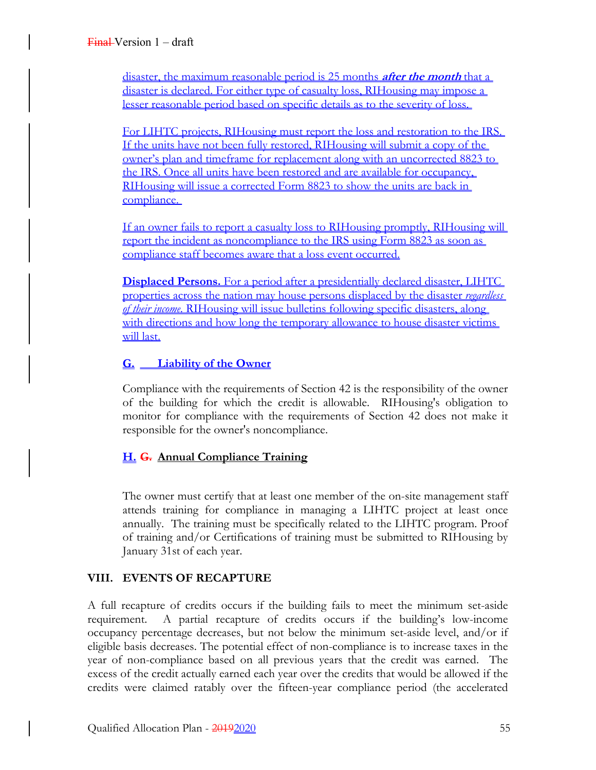disaster, the maximum reasonable period is 25 months **after the month** that a disaster is declared. For either type of casualty loss, RIHousing may impose a lesser reasonable period based on specific details as to the severity of loss.

For LIHTC projects, RIHousing must report the loss and restoration to the IRS. If the units have not been fully restored, RIHousing will submit a copy of the owner's plan and timeframe for replacement along with an uncorrected 8823 to the IRS. Once all units have been restored and are available for occupancy, RIHousing will issue a corrected Form 8823 to show the units are back in compliance.

If an owner fails to report a casualty loss to RIHousing promptly, RIHousing will report the incident as noncompliance to the IRS using Form 8823 as soon as compliance staff becomes aware that a loss event occurred.

**Displaced Persons.** For a period after a presidentially declared disaster, LIHTC properties across the nation may house persons displaced by the disaster *regardless of their income*. RIHousing will issue bulletins following specific disasters, along with directions and how long the temporary allowance to house disaster victims will last.

# **G. Liability of the Owner**

Compliance with the requirements of Section 42 is the responsibility of the owner of the building for which the credit is allowable. RIHousing's obligation to monitor for compliance with the requirements of Section 42 does not make it responsible for the owner's noncompliance.

# **H. G. Annual Compliance Training**

The owner must certify that at least one member of the on-site management staff attends training for compliance in managing a LIHTC project at least once annually. The training must be specifically related to the LIHTC program. Proof of training and/or Certifications of training must be submitted to RIHousing by January 31st of each year.

# **VIII. EVENTS OF RECAPTURE**

A full recapture of credits occurs if the building fails to meet the minimum set-aside requirement. A partial recapture of credits occurs if the building's low-income occupancy percentage decreases, but not below the minimum set-aside level, and/or if eligible basis decreases. The potential effect of non-compliance is to increase taxes in the year of non-compliance based on all previous years that the credit was earned. The excess of the credit actually earned each year over the credits that would be allowed if the credits were claimed ratably over the fifteen-year compliance period (the accelerated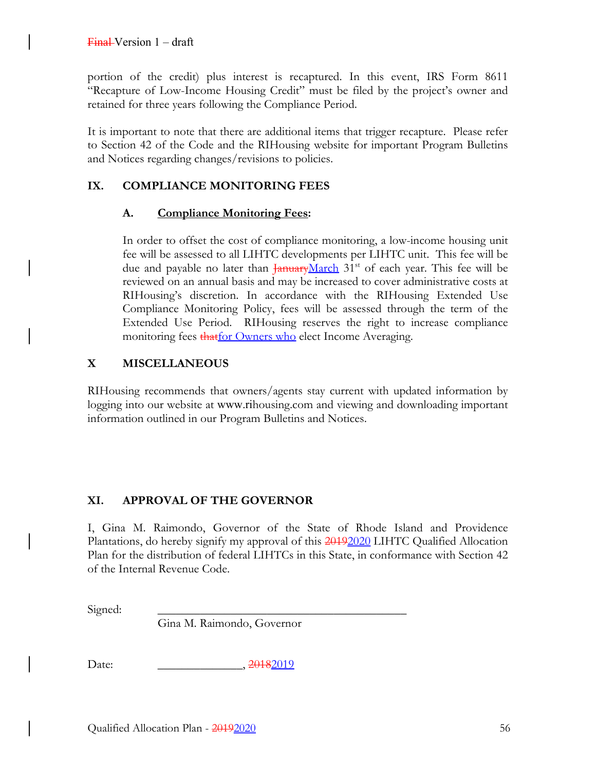portion of the credit) plus interest is recaptured. In this event, IRS Form 8611 "Recapture of Low-Income Housing Credit" must be filed by the project's owner and retained for three years following the Compliance Period.

It is important to note that there are additional items that trigger recapture. Please refer to Section 42 of the Code and the RIHousing website for important Program Bulletins and Notices regarding changes/revisions to policies.

## **IX. COMPLIANCE MONITORING FEES**

#### **A. Compliance Monitoring Fees:**

In order to offset the cost of compliance monitoring, a low-income housing unit fee will be assessed to all LIHTC developments per LIHTC unit. This fee will be due and payable no later than JanuaryMarch 31<sup>st</sup> of each year. This fee will be reviewed on an annual basis and may be increased to cover administrative costs at RIHousing's discretion. In accordance with the RIHousing Extended Use Compliance Monitoring Policy, fees will be assessed through the term of the Extended Use Period. RIHousing reserves the right to increase compliance monitoring fees that for Owners who elect Income Averaging.

### **X MISCELLANEOUS**

RIHousing recommends that owners/agents stay current with updated information by logging into our website at www.rihousing.com and viewing and downloading important information outlined in our Program Bulletins and Notices.

## **XI. APPROVAL OF THE GOVERNOR**

I, Gina M. Raimondo, Governor of the State of Rhode Island and Providence Plantations, do hereby signify my approval of this  $\frac{20192020}{20192020}$  LIHTC Qualified Allocation Plan for the distribution of federal LIHTCs in this State, in conformance with Section 42 of the Internal Revenue Code.

Signed: \_\_\_\_\_\_\_\_\_\_\_\_\_\_\_\_\_\_\_\_\_\_\_\_\_\_\_\_\_\_\_\_\_\_\_\_\_\_\_\_\_

Gina M. Raimondo, Governor

Date: 20182019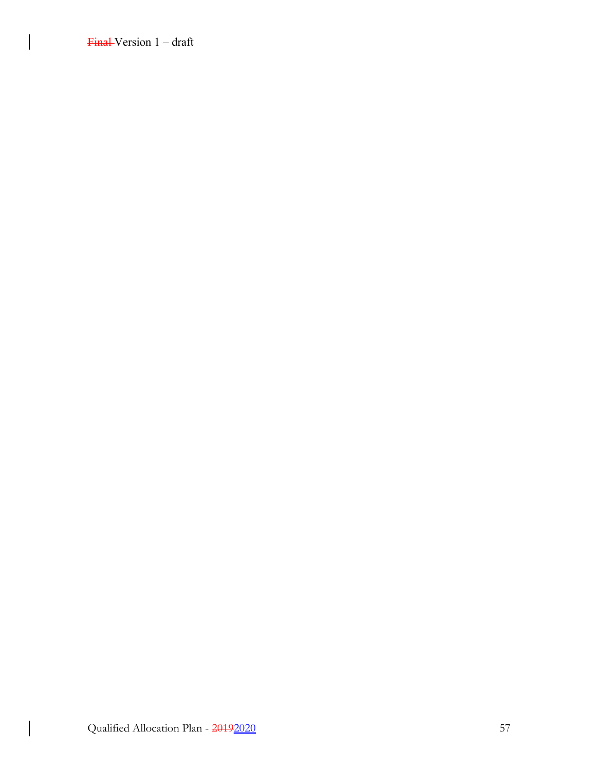Final-Version 1 – draft

 $\bigg\}$ 

 $\big\vert$